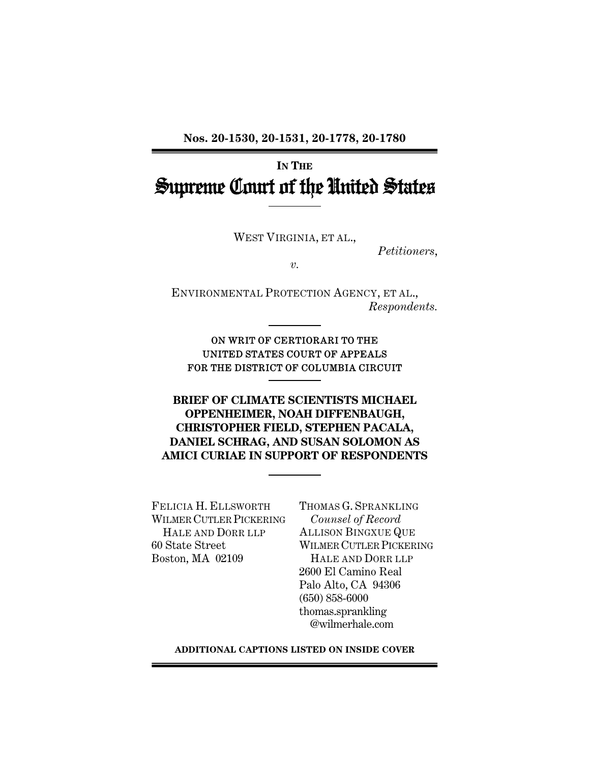**Nos. 20-1530, 20-1531, 20-1778, 20-1780** 

# **IN THE** Supreme Court of the United States

WEST VIRGINIA, ET AL.,

*Petitioners*,

*v.* 

ENVIRONMENTAL PROTECTION AGENCY, ET AL., *Respondents.* 

ON WRIT OF CERTIORARI TO THE UNITED STATES COURT OF APPEALS FOR THE DISTRICT OF COLUMBIA CIRCUIT

**BRIEF OF CLIMATE SCIENTISTS MICHAEL OPPENHEIMER, NOAH DIFFENBAUGH, CHRISTOPHER FIELD, STEPHEN PACALA, DANIEL SCHRAG, AND SUSAN SOLOMON AS AMICI CURIAE IN SUPPORT OF RESPONDENTS**

FELICIA H. ELLSWORTH WILMER CUTLER PICKERING HALE AND DORR LLP 60 State Street Boston, MA 02109

THOMAS G. SPRANKLING *Counsel of Record* ALLISON BINGXUE QUE WILMER CUTLER PICKERING HALE AND DORR LLP 2600 El Camino Real Palo Alto, CA 94306 (650) 858-6000 thomas.sprankling @wilmerhale.com

**ADDITIONAL CAPTIONS LISTED ON INSIDE COVER**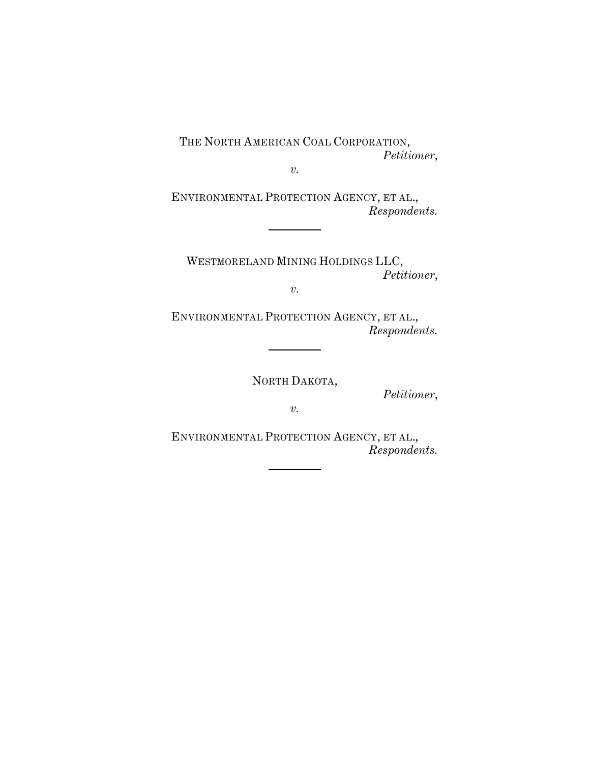THE NORTH AMERICAN COAL CORPORATION, *Petitioner*,

*v.* 

ENVIRONMENTAL PROTECTION AGENCY, ET AL., *Respondents.* 

WESTMORELAND MINING HOLDINGS LLC, *Petitioner*,

*v.* 

ENVIRONMENTAL PROTECTION AGENCY, ET AL., *Respondents.* 

NORTH DAKOTA,

*Petitioner*,

*v.* 

ENVIRONMENTAL PROTECTION AGENCY, ET AL., *Respondents.*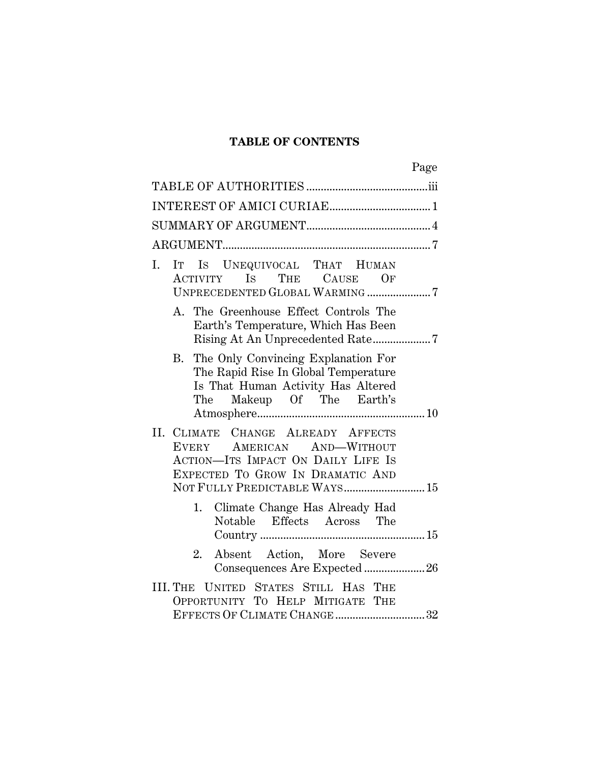## **TABLE OF CONTENTS**

| IT IS UNEQUIVOCAL THAT HUMAN<br>Ι.<br>ACTIVITY IS THE CAUSE OF<br>UNPRECEDENTED GLOBAL WARMING 7                                                        |  |
|---------------------------------------------------------------------------------------------------------------------------------------------------------|--|
| The Greenhouse Effect Controls The<br>A.<br>Earth's Temperature, Which Has Been                                                                         |  |
| The Only Convincing Explanation For<br>В.<br>The Rapid Rise In Global Temperature<br>Is That Human Activity Has Altered<br>Makeup Of The Earth's<br>The |  |
| II. CLIMATE CHANGE ALREADY AFFECTS<br>EVERY AMERICAN AND-WITHOUT<br><b>ACTION-ITS IMPACT ON DAILY LIFE IS</b><br>EXPECTED TO GROW IN DRAMATIC AND       |  |
| NOT FULLY PREDICTABLE WAYS 15                                                                                                                           |  |
| Climate Change Has Already Had<br>1.<br>Notable Effects Across The                                                                                      |  |
| Absent Action, More Severe<br>2.<br>Consequences Are Expected 26                                                                                        |  |
| UNITED STATES STILL HAS THE<br>III. THE<br>OPPORTUNITY TO HELP MITIGATE THE<br>EFFECTS OF CLIMATE CHANGE 32                                             |  |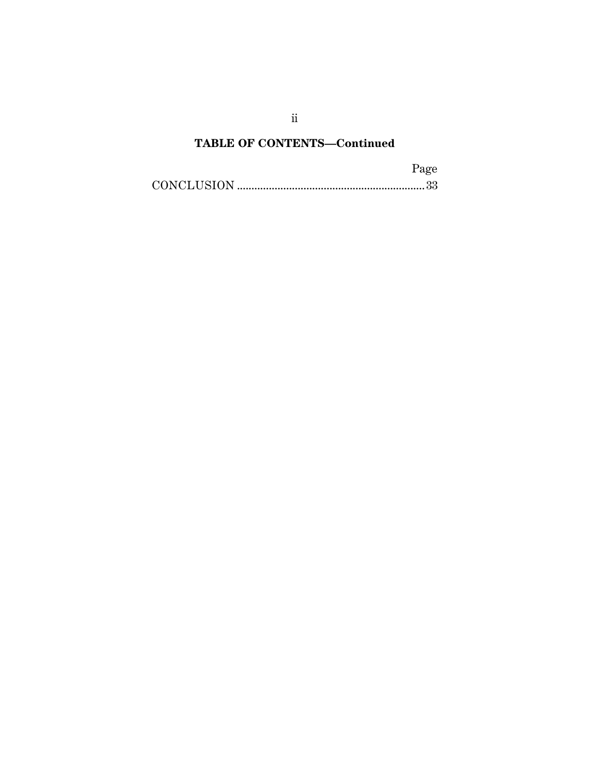# **TABLE OF CONTENTS—Continued**

| Page |
|------|
|      |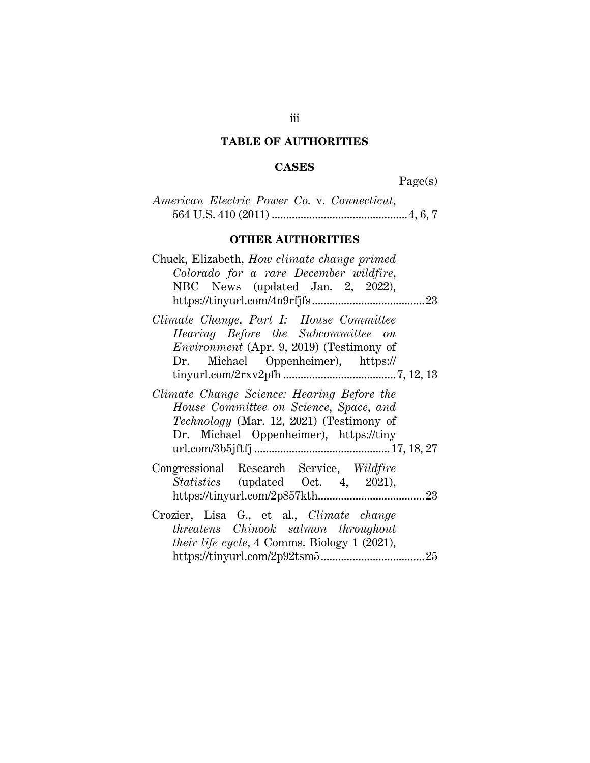# **TABLE OF AUTHORITIES**

## **CASES**

Page(s)

|  |  | American Electric Power Co. v. Connecticut, |  |
|--|--|---------------------------------------------|--|
|  |  |                                             |  |

# **OTHER AUTHORITIES**

| Chuck, Elizabeth, <i>How climate change primed</i><br>Colorado for a rare December wildfire,<br>NBC News (updated Jan. 2, 2022),                                                  |
|-----------------------------------------------------------------------------------------------------------------------------------------------------------------------------------|
| Climate Change, Part I: House Committee<br>Hearing Before the Subcommittee on<br><i>Environment</i> (Apr. 9, 2019) (Testimony of<br>Dr. Michael Oppenheimer), https://            |
| Climate Change Science: Hearing Before the<br>House Committee on Science, Space, and<br><i>Technology</i> (Mar. 12, 2021) (Testimony of<br>Dr. Michael Oppenheimer), https://tiny |
| Congressional Research Service, Wildfire<br><i>Statistics</i> (updated Oct. 4, 2021),                                                                                             |
| Crozier, Lisa G., et al., Climate change<br><i>threatens Chinook salmon throughout</i><br><i>their life cycle</i> , 4 Comms. Biology 1 (2021),                                    |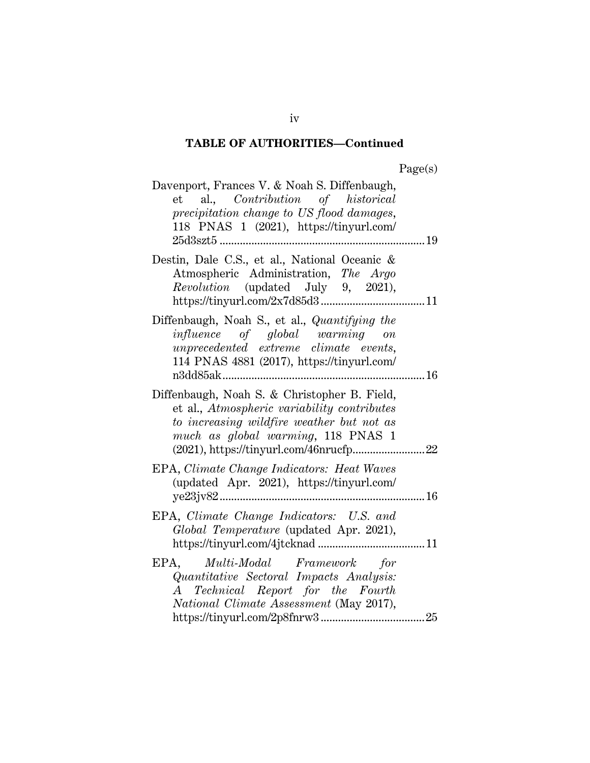| Page(s) |
|---------|
|---------|

| Davenport, Frances V. & Noah S. Diffenbaugh,<br>et al., <i>Contribution</i> of <i>historical</i><br>precipitation change to US flood damages,<br>118 PNAS 1 (2021), https://tinyurl.com/  |  |
|-------------------------------------------------------------------------------------------------------------------------------------------------------------------------------------------|--|
| 25d3szt5<br>19                                                                                                                                                                            |  |
| Destin, Dale C.S., et al., National Oceanic &<br>Atmospheric Administration, The Argo<br><i>Revolution</i> (updated July 9, 2021),                                                        |  |
| Diffenbaugh, Noah S., et al., Quantifying the<br><i>influence</i> of global warming on<br>unprecedented extreme climate events,<br>114 PNAS 4881 (2017), https://tinyurl.com/<br>n3dd85ak |  |
| Diffenbaugh, Noah S. & Christopher B. Field,<br>et al., Atmospheric variability contributes<br>to increasing wildfire weather but not as<br>much as global warming, 118 PNAS 1            |  |
| EPA, Climate Change Indicators: Heat Waves<br>(updated Apr. 2021), https://tinyurl.com/                                                                                                   |  |
| EPA, Climate Change Indicators: U.S. and<br>Global Temperature (updated Apr. 2021),                                                                                                       |  |
| EPA, Multi-Modal Framework for<br>Quantitative Sectoral Impacts Analysis:<br>A Technical Report for the Fourth<br>National Climate Assessment (May 2017),                                 |  |

iv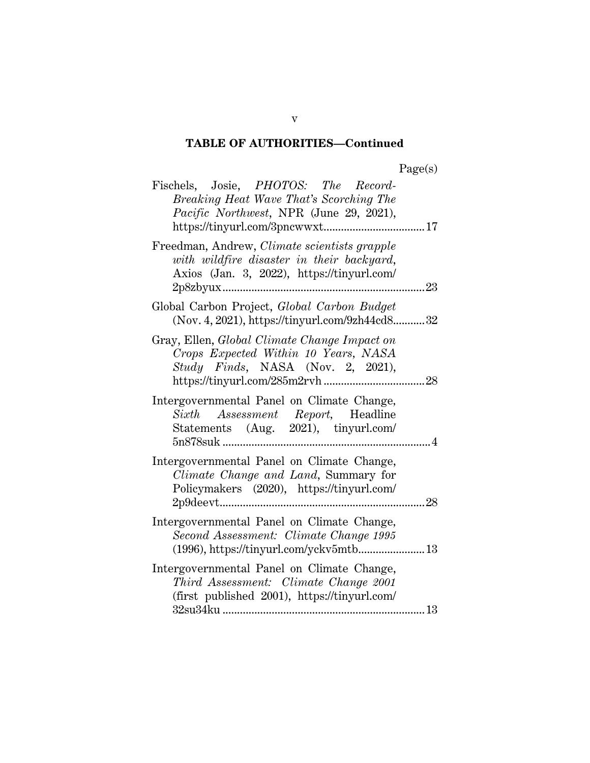| ager<br>s |
|-----------|
|-----------|

| Fischels, Josie, PHOTOS: The Record-<br>Breaking Heat Wave That's Scorching The<br>Pacific Northwest, NPR (June 29, 2021),                          |
|-----------------------------------------------------------------------------------------------------------------------------------------------------|
| Freedman, Andrew, Climate scientists grapple<br>with wildfire disaster in their backyard,<br>Axios (Jan. 3, 2022), https://tinyurl.com/<br>2p8zbyux |
| Global Carbon Project, Global Carbon Budget<br>(Nov. 4, 2021), https://tinyurl.com/9zh44cd832                                                       |
| Gray, Ellen, Global Climate Change Impact on<br>Crops Expected Within 10 Years, NASA<br>Study Finds, NASA (Nov. 2, 2021),                           |
| Intergovernmental Panel on Climate Change,<br>Sixth Assessment Report, Headline<br>Statements (Aug. 2021), tinyurl.com/<br>. 4                      |
| Intergovernmental Panel on Climate Change,<br>Climate Change and Land, Summary for<br>Policymakers (2020), https://tinyurl.com/                     |
| Intergovernmental Panel on Climate Change,<br>Second Assessment: Climate Change 1995                                                                |
| Intergovernmental Panel on Climate Change,<br>Third Assessment: Climate Change 2001<br>(first published 2001), https://tinyurl.com/                 |

v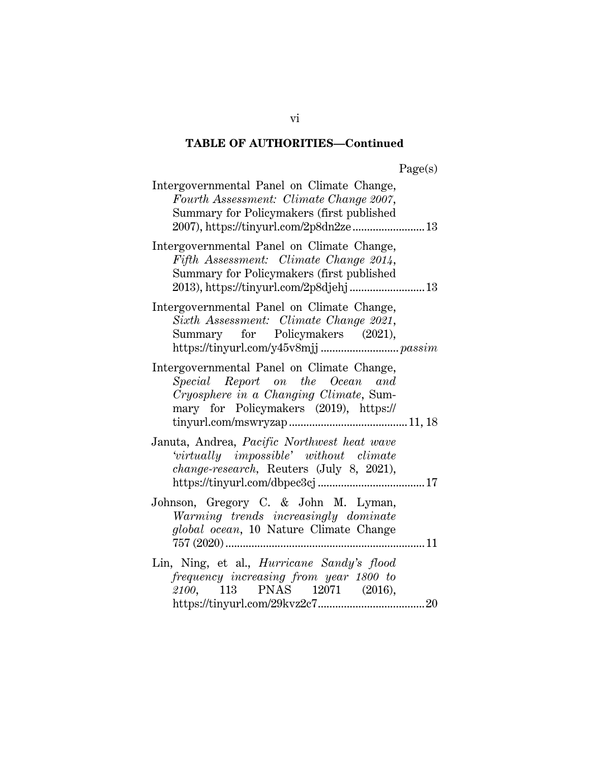| Intergovernmental Panel on Climate Change,<br>Fourth Assessment: Climate Change 2007,<br>Summary for Policymakers (first published<br>2007), https://tinyurl.com/2p8dn2ze 13 |  |
|------------------------------------------------------------------------------------------------------------------------------------------------------------------------------|--|
| Intergovernmental Panel on Climate Change,<br>Fifth Assessment: Climate Change 2014,<br>Summary for Policymakers (first published<br>2013), https://tinyurl.com/2p8djehj 13  |  |
| Intergovernmental Panel on Climate Change,<br>Sixth Assessment: Climate Change 2021,<br>Summary for Policymakers (2021),                                                     |  |
| Intergovernmental Panel on Climate Change,<br>Special Report on the Ocean and<br>Cryosphere in a Changing Climate, Sum-<br>mary for Policymakers (2019), https://            |  |
| Januta, Andrea, Pacific Northwest heat wave<br>'virtually impossible' without climate<br>change-research, Reuters (July 8, 2021),                                            |  |
| Johnson, Gregory C. & John M. Lyman,<br>Warming trends increasingly dominate<br>global ocean, 10 Nature Climate Change                                                       |  |
| Lin, Ning, et al., <i>Hurricane Sandy's flood</i><br>frequency increasing from year 1800 to<br>2100, 113 PNAS 12071 (2016),                                                  |  |

vi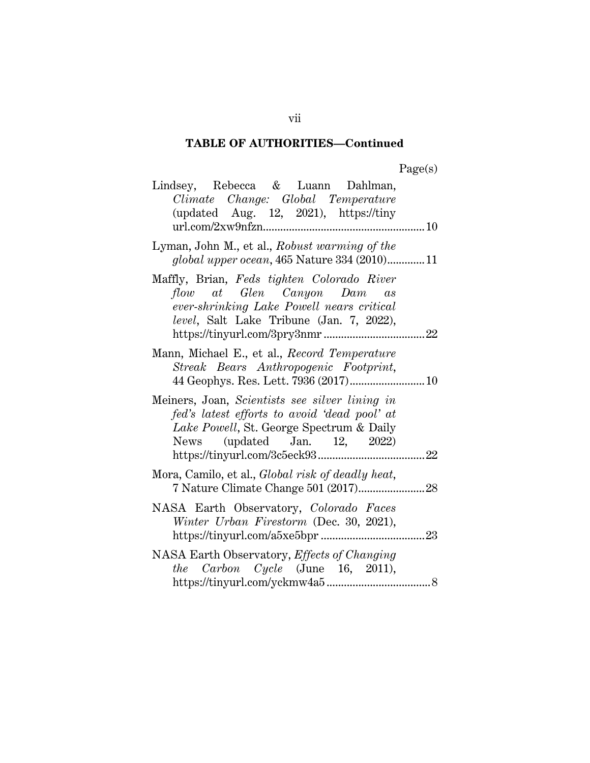| аор<br>÷ |
|----------|
|----------|

| Lindsey, Rebecca & Luann Dahlman,<br>Climate Change: Global Temperature<br>(updated Aug. 12, 2021), $\frac{htps}{/tiny}$<br>10                                             |     |
|----------------------------------------------------------------------------------------------------------------------------------------------------------------------------|-----|
| Lyman, John M., et al., Robust warming of the<br>global upper ocean, 465 Nature 334 (2010)11                                                                               |     |
| Maffly, Brian, Feds tighten Colorado River<br>flow at Glen Canyon Dam as<br>ever-shrinking Lake Powell nears critical<br>level, Salt Lake Tribune (Jan. 7, 2022),          |     |
| Mann, Michael E., et al., Record Temperature<br>Streak Bears Anthropogenic Footprint,                                                                                      |     |
| Meiners, Joan, Scientists see silver lining in<br>fed's latest efforts to avoid 'dead pool' at<br>Lake Powell, St. George Spectrum & Daily<br>News (updated Jan. 12, 2022) | .22 |
| Mora, Camilo, et al., Global risk of deadly heat,<br>7 Nature Climate Change 501 (2017)                                                                                    | 28  |
| NASA Earth Observatory, Colorado Faces<br>Winter Urban Firestorm (Dec. 30, 2021),                                                                                          | 23  |
| NASA Earth Observatory, Effects of Changing<br><i>the Carbon Cycle</i> (June 16, 2011),                                                                                    |     |

vii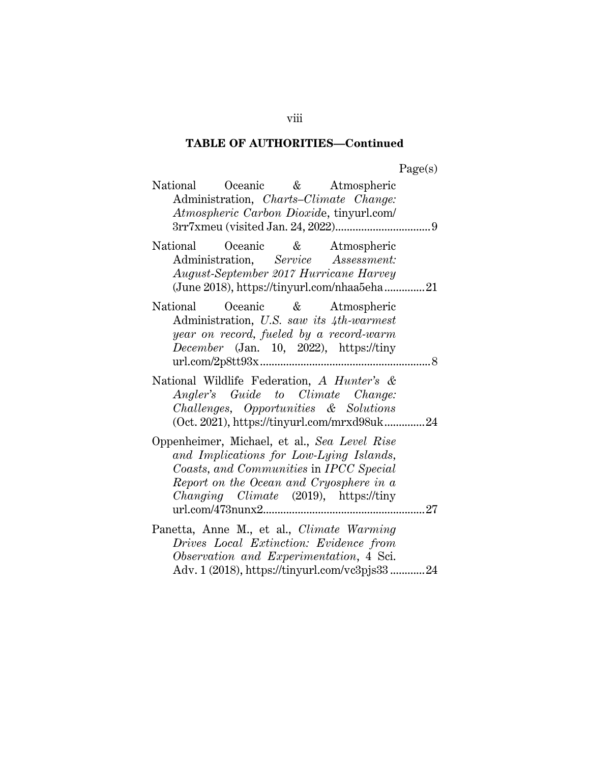| וחמפ'<br>$\mathbf{N}$ |
|-----------------------|
|-----------------------|

| Oceanic & Atmospheric<br>National<br>Administration, Charts-Climate Change:<br>Atmospheric Carbon Dioxide, tinyurl.com/                                                                                                        |
|--------------------------------------------------------------------------------------------------------------------------------------------------------------------------------------------------------------------------------|
| Oceanic & Atmospheric<br>National<br>Administration, Service Assessment:<br>August-September 2017 Hurricane Harvey<br>(June 2018), https://tinyurl.com/nhaa5eha21                                                              |
| Oceanic & Atmospheric<br>National<br>Administration, U.S. saw its 4th-warmest<br>year on record, fueled by a record-warm<br>December (Jan. 10, 2022), https://tiny                                                             |
| National Wildlife Federation, A Hunter's &<br>Angler's Guide to Climate Change:<br>Challenges, Opportunities & Solutions<br>(Oct. 2021), https://tinyurl.com/mrxd98uk24                                                        |
| Oppenheimer, Michael, et al., Sea Level Rise<br>and Implications for Low-Lying Islands,<br>Coasts, and Communities in IPCC Special<br>Report on the Ocean and Cryosphere in a<br><i>Changing Climate (2019)</i> , https://tiny |
| Panetta, Anne M., et al., Climate Warming<br>Drives Local Extinction: Evidence from<br>Observation and Experimentation, 4 Sci.<br>Adv. 1 (2018), https://tinyurl.com/vc3pjs3324                                                |

viii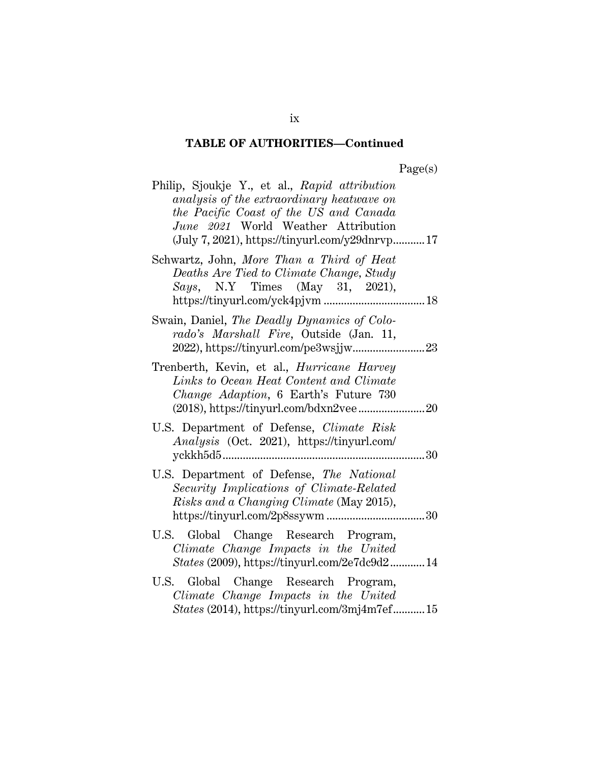| agets |
|-------|
|-------|

| Philip, Sjoukje Y., et al., Rapid attribution<br>analysis of the extraordinary heatwave on<br>the Pacific Coast of the US and Canada<br>June 2021 World Weather Attribution<br>$(July 7, 2021), https://tinyvrl.com/y29dnrvp17$ |    |
|---------------------------------------------------------------------------------------------------------------------------------------------------------------------------------------------------------------------------------|----|
| Schwartz, John, More Than a Third of Heat<br>Deaths Are Tied to Climate Change, Study<br>Says, N.Y Times (May 31, 2021),                                                                                                        |    |
| Swain, Daniel, The Deadly Dynamics of Colo-<br>rado's Marshall Fire, Outside (Jan. 11,                                                                                                                                          |    |
| Trenberth, Kevin, et al., <i>Hurricane Harvey</i><br>Links to Ocean Heat Content and Climate<br>Change Adaption, 6 Earth's Future 730                                                                                           |    |
| U.S. Department of Defense, Climate Risk<br>Analysis (Oct. 2021), https://tinyurl.com/                                                                                                                                          | 30 |
| U.S. Department of Defense, The National<br>Security Implications of Climate-Related<br>Risks and a Changing Climate (May 2015),                                                                                                |    |
| U.S. Global Change Research Program,<br>Climate Change Impacts in the United<br><i>States</i> (2009), https://tinyurl.com/2e7dc9d214                                                                                            |    |
| U.S. Global Change Research Program,<br>Climate Change Impacts in the United<br><i>States</i> (2014), https://tinyurl.com/3mj4m7ef15                                                                                            |    |

ix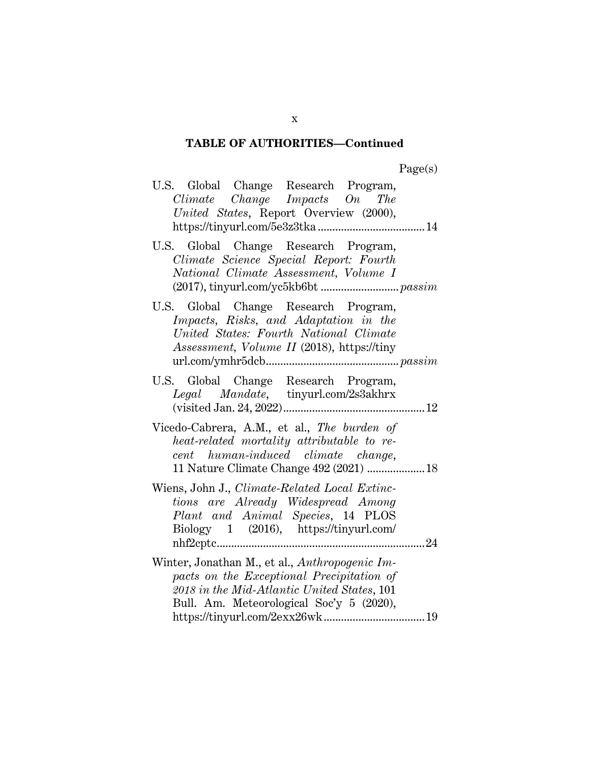| U.S. Global Change Research Program,<br>Climate Change Impacts On The<br>United States, Report Overview (2000),                                                                        |
|----------------------------------------------------------------------------------------------------------------------------------------------------------------------------------------|
| U.S. Global Change Research Program,<br>Climate Science Special Report: Fourth<br>National Climate Assessment, Volume I                                                                |
| U.S. Global Change Research Program,<br>Impacts, Risks, and Adaptation in the<br>United States: Fourth National Climate<br>Assessment, Volume II (2018), https://tiny                  |
| U.S. Global Change Research Program,<br>Legal Mandate, tinyurl.com/2s3akhrx                                                                                                            |
| Vicedo-Cabrera, A.M., et al., The burden of<br>heat-related mortality attributable to re-<br>cent human-induced climate change,<br>11 Nature Climate Change 492 (2021)  18             |
| Wiens, John J., Climate-Related Local Extinc-<br>tions are Already Widespread Among<br>Plant and Animal Species, 14 PLOS<br>Biology 1 (2016), https://tinyurl.com/<br>. 24             |
| Winter, Jonathan M., et al., Anthropogenic Im-<br>pacts on the Exceptional Precipitation of<br>2018 in the Mid-Atlantic United States, 101<br>Bull. Am. Meteorological Soc'y 5 (2020), |

x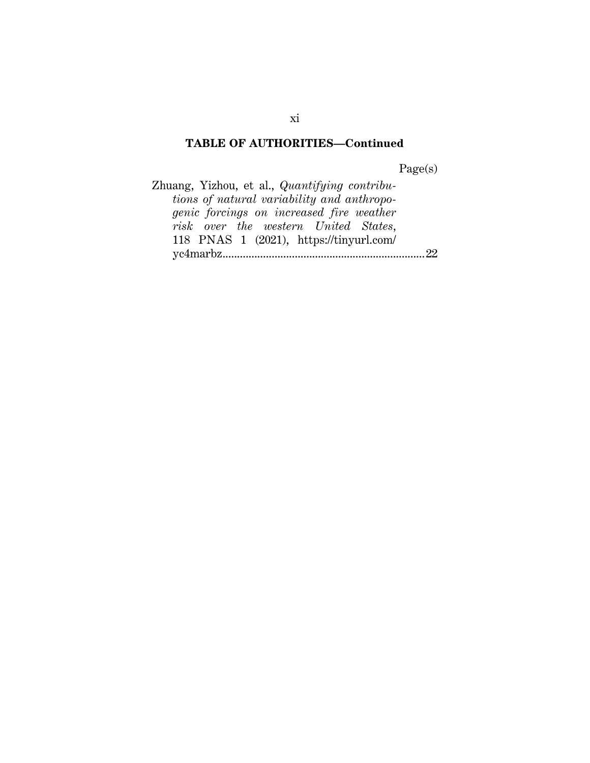Page(s)

Zhuang, Yizhou, et al., *Quantifying contributions of natural variability and anthropogenic forcings on increased fire weather risk over the western United States*, 118 PNAS 1 (2021), https://tinyurl.com/ yc4marbz ...................................................................... 22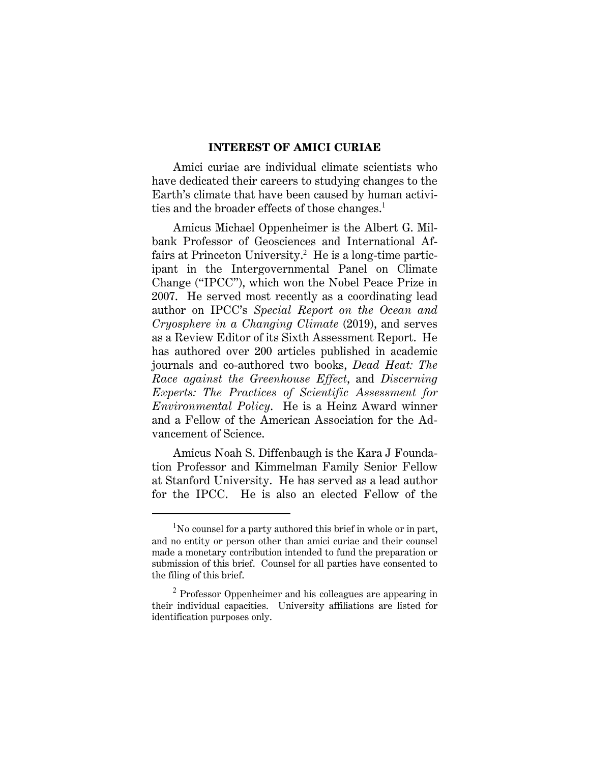#### **INTEREST OF AMICI CURIAE**

Amici curiae are individual climate scientists who have dedicated their careers to studying changes to the Earth's climate that have been caused by human activities and the broader effects of those changes.<sup>1</sup>

Amicus Michael Oppenheimer is the Albert G. Milbank Professor of Geosciences and International Affairs at Princeton University.<sup>2</sup> He is a long-time participant in the Intergovernmental Panel on Climate Change ("IPCC"), which won the Nobel Peace Prize in 2007. He served most recently as a coordinating lead author on IPCC's *Special Report on the Ocean and Cryosphere in a Changing Climate* (2019), and serves as a Review Editor of its Sixth Assessment Report. He has authored over 200 articles published in academic journals and co-authored two books, *Dead Heat: The Race against the Greenhouse Effect*, and *Discerning Experts: The Practices of Scientific Assessment for Environmental Policy*. He is a Heinz Award winner and a Fellow of the American Association for the Advancement of Science.

Amicus Noah S. Diffenbaugh is the Kara J Foundation Professor and Kimmelman Family Senior Fellow at Stanford University. He has served as a lead author for the IPCC. He is also an elected Fellow of the

 $1$ No counsel for a party authored this brief in whole or in part, and no entity or person other than amici curiae and their counsel made a monetary contribution intended to fund the preparation or submission of this brief. Counsel for all parties have consented to the filing of this brief.

<sup>&</sup>lt;sup>2</sup> Professor Oppenheimer and his colleagues are appearing in their individual capacities. University affiliations are listed for identification purposes only.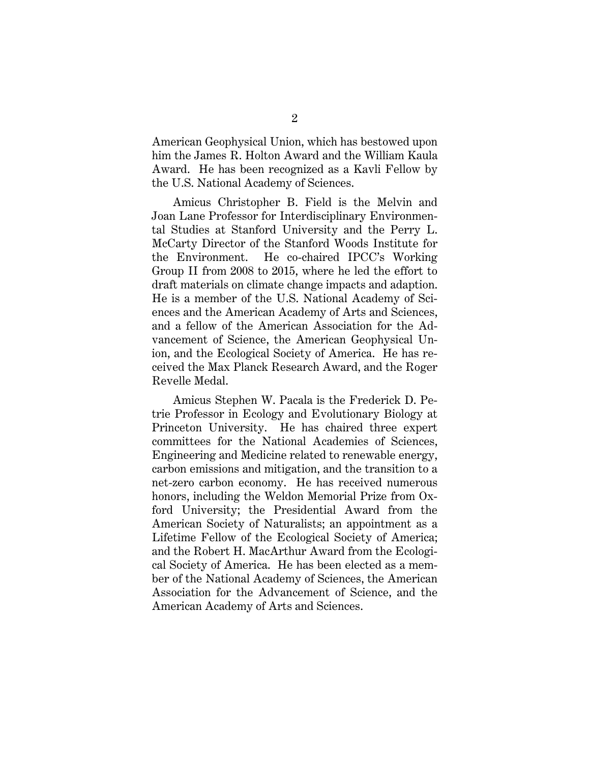American Geophysical Union, which has bestowed upon him the James R. Holton Award and the William Kaula Award. He has been recognized as a Kavli Fellow by the U.S. National Academy of Sciences.

Amicus Christopher B. Field is the Melvin and Joan Lane Professor for Interdisciplinary Environmental Studies at Stanford University and the Perry L. McCarty Director of the Stanford Woods Institute for the Environment. He co-chaired IPCC's Working Group II from 2008 to 2015, where he led the effort to draft materials on climate change impacts and adaption. He is a member of the U.S. National Academy of Sciences and the American Academy of Arts and Sciences, and a fellow of the American Association for the Advancement of Science, the American Geophysical Union, and the Ecological Society of America. He has received the Max Planck Research Award, and the Roger Revelle Medal.

Amicus Stephen W. Pacala is the Frederick D. Petrie Professor in Ecology and Evolutionary Biology at Princeton University. He has chaired three expert committees for the National Academies of Sciences, Engineering and Medicine related to renewable energy, carbon emissions and mitigation, and the transition to a net-zero carbon economy. He has received numerous honors, including the Weldon Memorial Prize from Oxford University; the Presidential Award from the American Society of Naturalists; an appointment as a Lifetime Fellow of the Ecological Society of America; and the Robert H. MacArthur Award from the Ecological Society of America. He has been elected as a member of the National Academy of Sciences, the American Association for the Advancement of Science, and the American Academy of Arts and Sciences.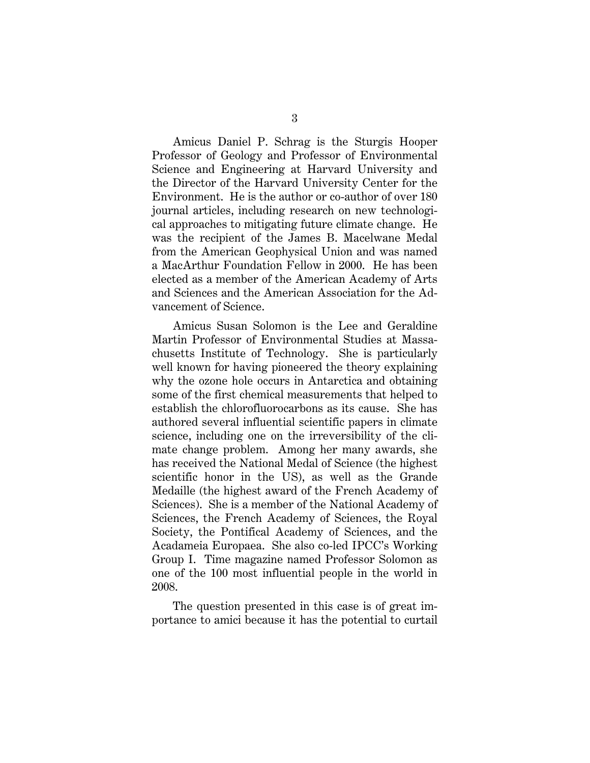Amicus Daniel P. Schrag is the Sturgis Hooper Professor of Geology and Professor of Environmental Science and Engineering at Harvard University and the Director of the Harvard University Center for the Environment. He is the author or co-author of over 180 journal articles, including research on new technological approaches to mitigating future climate change. He was the recipient of the James B. Macelwane Medal from the American Geophysical Union and was named a MacArthur Foundation Fellow in 2000. He has been elected as a member of the American Academy of Arts and Sciences and the American Association for the Advancement of Science.

Amicus Susan Solomon is the Lee and Geraldine Martin Professor of Environmental Studies at Massachusetts Institute of Technology. She is particularly well known for having pioneered the theory explaining why the ozone hole occurs in Antarctica and obtaining some of the first chemical measurements that helped to establish the chlorofluorocarbons as its cause. She has authored several influential scientific papers in climate science, including one on the irreversibility of the climate change problem. Among her many awards, she has received the National Medal of Science (the highest scientific honor in the US), as well as the Grande Medaille (the highest award of the French Academy of Sciences). She is a member of the National Academy of Sciences, the French Academy of Sciences, the Royal Society, the Pontifical Academy of Sciences, and the Acadameia Europaea. She also co-led IPCC's Working Group I. Time magazine named Professor Solomon as one of the 100 most influential people in the world in 2008.

The question presented in this case is of great importance to amici because it has the potential to curtail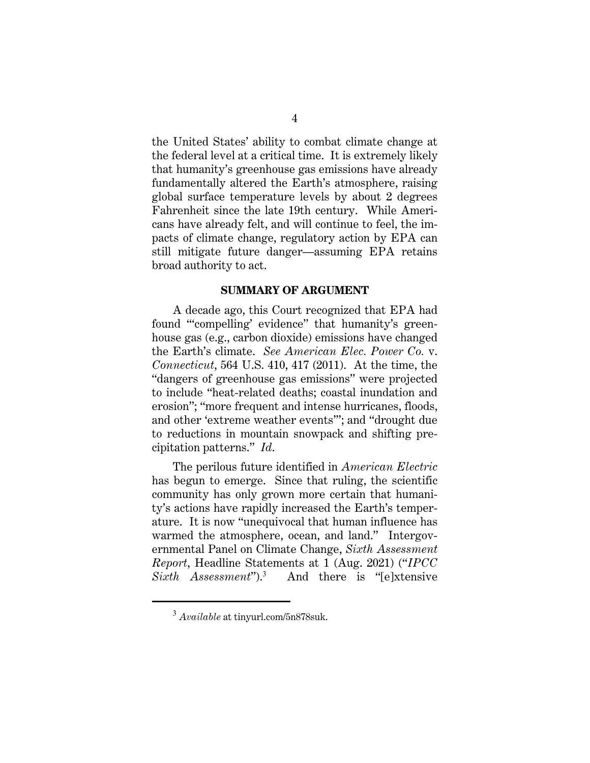the United States' ability to combat climate change at the federal level at a critical time. It is extremely likely that humanity's greenhouse gas emissions have already fundamentally altered the Earth's atmosphere, raising global surface temperature levels by about 2 degrees Fahrenheit since the late 19th century. While Americans have already felt, and will continue to feel, the impacts of climate change, regulatory action by EPA can still mitigate future danger—assuming EPA retains broad authority to act.

#### **SUMMARY OF ARGUMENT**

A decade ago, this Court recognized that EPA had found "'compelling' evidence" that humanity's greenhouse gas (e.g., carbon dioxide) emissions have changed the Earth's climate. *See American Elec. Power Co.* v. *Connecticut*, 564 U.S. 410, 417 (2011). At the time, the "dangers of greenhouse gas emissions" were projected to include "heat-related deaths; coastal inundation and erosion"; "more frequent and intense hurricanes, floods, and other 'extreme weather events'"; and "drought due to reductions in mountain snowpack and shifting precipitation patterns." *Id*.

The perilous future identified in *American Electric* has begun to emerge.Since that ruling, the scientific community has only grown more certain that humanity's actions have rapidly increased the Earth's temperature. It is now "unequivocal that human influence has warmed the atmosphere, ocean, and land." Intergovernmental Panel on Climate Change, *Sixth Assessment Report*, Headline Statements at 1 (Aug. 2021) ("*IPCC Sixth Assessment*").<sup>3</sup> And there is "[e]xtensive

<sup>3</sup> *Available* at tinyurl.com/5n878suk.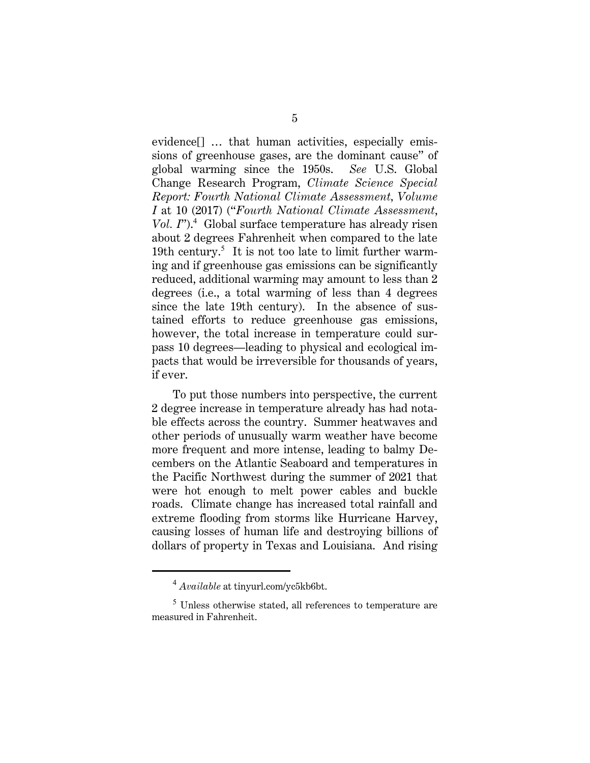evidence[] … that human activities, especially emissions of greenhouse gases, are the dominant cause" of global warming since the 1950s. *See* U.S. Global Change Research Program, *Climate Science Special Report: Fourth National Climate Assessment, Volume I* at 10 (2017) ("*Fourth National Climate Assessment*, Vol. I").<sup>4</sup> Global surface temperature has already risen about 2 degrees Fahrenheit when compared to the late 19th century.<sup>5</sup> It is not too late to limit further warming and if greenhouse gas emissions can be significantly reduced, additional warming may amount to less than 2 degrees (i.e., a total warming of less than 4 degrees since the late 19th century). In the absence of sustained efforts to reduce greenhouse gas emissions, however, the total increase in temperature could surpass 10 degrees—leading to physical and ecological impacts that would be irreversible for thousands of years, if ever.

To put those numbers into perspective, the current 2 degree increase in temperature already has had notable effects across the country. Summer heatwaves and other periods of unusually warm weather have become more frequent and more intense, leading to balmy Decembers on the Atlantic Seaboard and temperatures in the Pacific Northwest during the summer of 2021 that were hot enough to melt power cables and buckle roads. Climate change has increased total rainfall and extreme flooding from storms like Hurricane Harvey, causing losses of human life and destroying billions of dollars of property in Texas and Louisiana. And rising

<sup>4</sup> *Available* at tinyurl.com/yc5kb6bt.

 $^5$  Unless otherwise stated, all references to temperature are measured in Fahrenheit.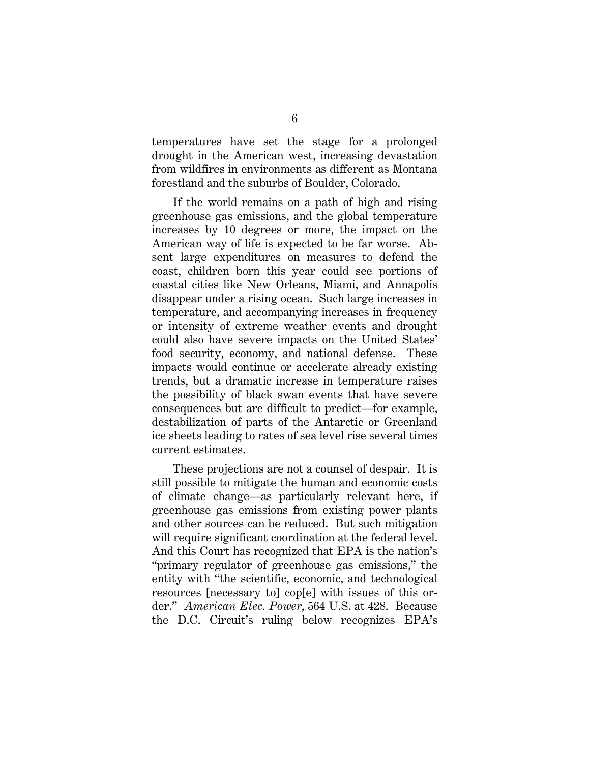temperatures have set the stage for a prolonged drought in the American west, increasing devastation from wildfires in environments as different as Montana forestland and the suburbs of Boulder, Colorado.

If the world remains on a path of high and rising greenhouse gas emissions, and the global temperature increases by 10 degrees or more, the impact on the American way of life is expected to be far worse. Absent large expenditures on measures to defend the coast, children born this year could see portions of coastal cities like New Orleans, Miami, and Annapolis disappear under a rising ocean. Such large increases in temperature, and accompanying increases in frequency or intensity of extreme weather events and drought could also have severe impacts on the United States' food security, economy, and national defense. These impacts would continue or accelerate already existing trends, but a dramatic increase in temperature raises the possibility of black swan events that have severe consequences but are difficult to predict—for example, destabilization of parts of the Antarctic or Greenland ice sheets leading to rates of sea level rise several times current estimates.

These projections are not a counsel of despair. It is still possible to mitigate the human and economic costs of climate change—as particularly relevant here, if greenhouse gas emissions from existing power plants and other sources can be reduced. But such mitigation will require significant coordination at the federal level. And this Court has recognized that EPA is the nation's "primary regulator of greenhouse gas emissions," the entity with "the scientific, economic, and technological resources [necessary to] cop[e] with issues of this order." *American Elec. Power*, 564 U.S. at 428. Because the D.C. Circuit's ruling below recognizes EPA's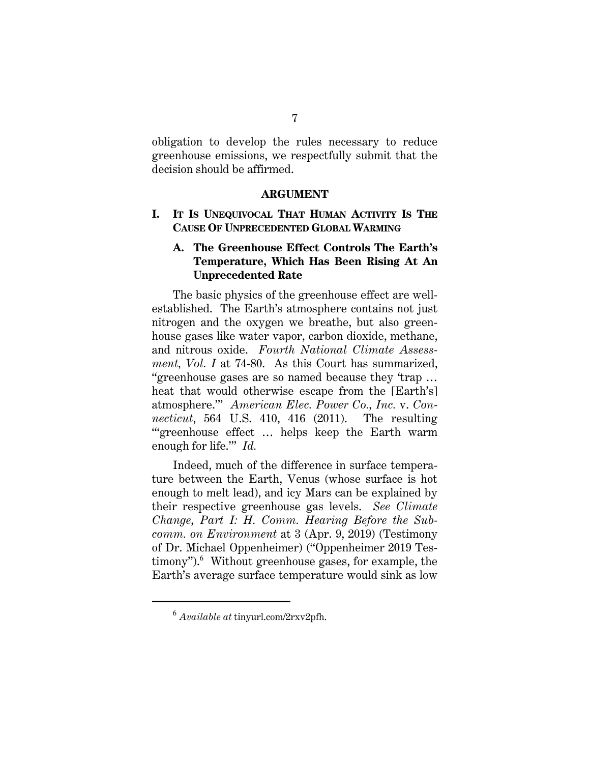obligation to develop the rules necessary to reduce greenhouse emissions, we respectfully submit that the decision should be affirmed.

#### **ARGUMENT**

#### **I. IT IS UNEQUIVOCAL THAT HUMAN ACTIVITY IS THE CAUSE OF UNPRECEDENTED GLOBAL WARMING**

## **A. The Greenhouse Effect Controls The Earth's Temperature, Which Has Been Rising At An Unprecedented Rate**

The basic physics of the greenhouse effect are wellestablished. The Earth's atmosphere contains not just nitrogen and the oxygen we breathe, but also greenhouse gases like water vapor, carbon dioxide, methane, and nitrous oxide. *Fourth National Climate Assessment, Vol. I* at 74-80. As this Court has summarized, "greenhouse gases are so named because they 'trap … heat that would otherwise escape from the [Earth's] atmosphere.'" *American Elec. Power Co., Inc.* v. *Connecticut*, 564 U.S. 410, 416 (2011). The resulting "'greenhouse effect … helps keep the Earth warm enough for life.'" *Id.*

Indeed, much of the difference in surface temperature between the Earth, Venus (whose surface is hot enough to melt lead), and icy Mars can be explained by their respective greenhouse gas levels. *See Climate Change, Part I: H. Comm. Hearing Before the Subcomm. on Environment* at 3 (Apr. 9, 2019) (Testimony of Dr. Michael Oppenheimer) ("Oppenheimer 2019 Testimony").<sup>6</sup> Without greenhouse gases, for example, the Earth's average surface temperature would sink as low

<sup>6</sup> *Available at* tinyurl.com/2rxv2pfh.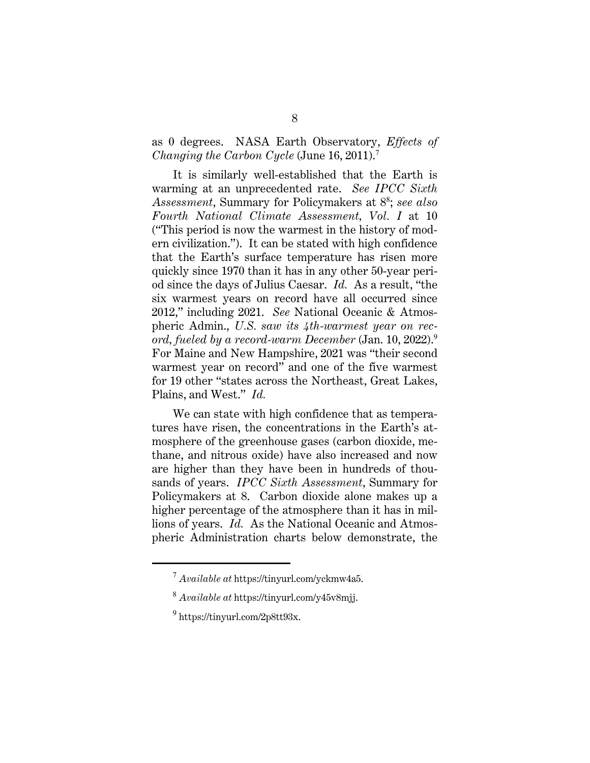as 0 degrees. NASA Earth Observatory, *Effects of Changing the Carbon Cycle* (June 16, 2011).<sup>7</sup>

It is similarly well-established that the Earth is warming at an unprecedented rate. *See IPCC Sixth Assessment*, Summary for Policymakers at 8<sup>8</sup> ; *see also Fourth National Climate Assessment, Vol. I* at 10 ("This period is now the warmest in the history of modern civilization."). It can be stated with high confidence that the Earth's surface temperature has risen more quickly since 1970 than it has in any other 50-year period since the days of Julius Caesar. *Id.* As a result, "the six warmest years on record have all occurred since 2012," including 2021. *See* National Oceanic & Atmospheric Admin., *U.S. saw its 4th-warmest year on record, fueled by a record-warm December* (Jan. 10, 2022).<sup>9</sup> For Maine and New Hampshire, 2021 was "their second warmest year on record" and one of the five warmest for 19 other "states across the Northeast, Great Lakes, Plains, and West." *Id.* 

We can state with high confidence that as temperatures have risen, the concentrations in the Earth's atmosphere of the greenhouse gases (carbon dioxide, methane, and nitrous oxide) have also increased and now are higher than they have been in hundreds of thousands of years. *IPCC Sixth Assessment*, Summary for Policymakers at 8. Carbon dioxide alone makes up a higher percentage of the atmosphere than it has in millions of years. *Id.* As the National Oceanic and Atmospheric Administration charts below demonstrate, the

<sup>7</sup> *Available at* https://tinyurl.com/yckmw4a5.

<sup>8</sup> *Available at* https://tinyurl.com/y45v8mjj.

 $9$  https://tinyurl.com/2p8tt93x.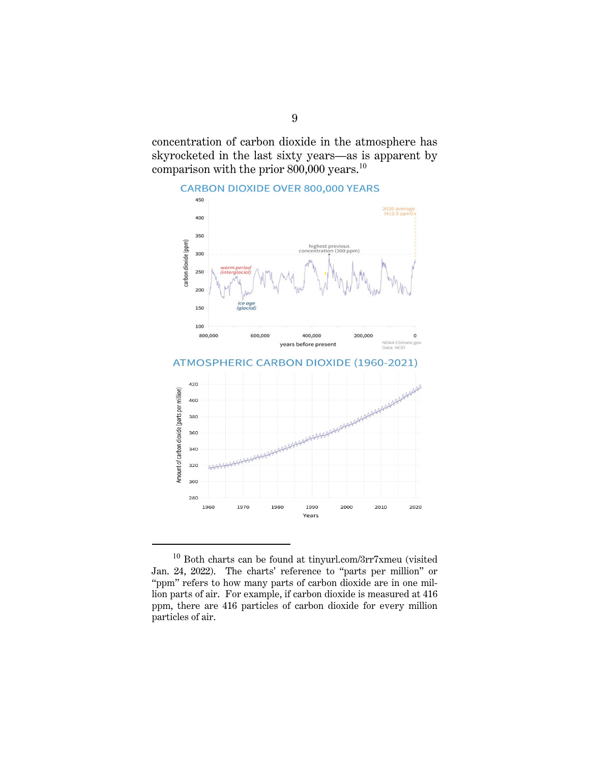concentration of carbon dioxide in the atmosphere has skyrocketed in the last sixty years—as is apparent by comparison with the prior 800,000 years.<sup>10</sup>



 $^{10}$  Both charts can be found at tinyurl.com/3rr7xmeu (visited  $\,$ Jan. 24, 2022). The charts' reference to "parts per million" or "ppm" refers to how many parts of carbon dioxide are in one million parts of air. For example, if carbon dioxide is measured at 416 ppm, there are 416 particles of carbon dioxide for every million particles of air.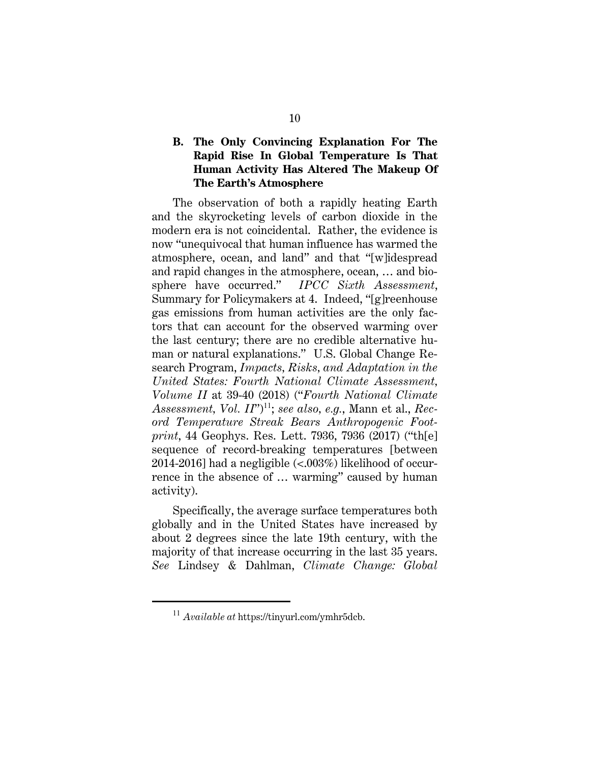## **B. The Only Convincing Explanation For The Rapid Rise In Global Temperature Is That Human Activity Has Altered The Makeup Of The Earth's Atmosphere**

The observation of both a rapidly heating Earth and the skyrocketing levels of carbon dioxide in the modern era is not coincidental. Rather, the evidence is now "unequivocal that human influence has warmed the atmosphere, ocean, and land" and that "[w]idespread and rapid changes in the atmosphere, ocean, … and biosphere have occurred." *IPCC Sixth Assessment*, Summary for Policymakers at 4. Indeed, "[g]reenhouse gas emissions from human activities are the only factors that can account for the observed warming over the last century; there are no credible alternative human or natural explanations." U.S. Global Change Research Program, *Impacts, Risks, and Adaptation in the United States: Fourth National Climate Assessment, Volume II* at 39-40 (2018) ("*Fourth National Climate*  Assessment, *Vol. II*")<sup>11</sup>; *see also, e.g.*, Mann et al., *Record Temperature Streak Bears Anthropogenic Footprint*, 44 Geophys. Res. Lett. 7936, 7936 (2017) ("th[e] sequence of record-breaking temperatures [between 2014-2016] had a negligible  $\langle \langle .003\% \rangle$  likelihood of occurrence in the absence of … warming" caused by human activity).

Specifically, the average surface temperatures both globally and in the United States have increased by about 2 degrees since the late 19th century, with the majority of that increase occurring in the last 35 years. *See* Lindsey & Dahlman, *Climate Change: Global* 

<sup>11</sup> *Available at* https://tinyurl.com/ymhr5dcb.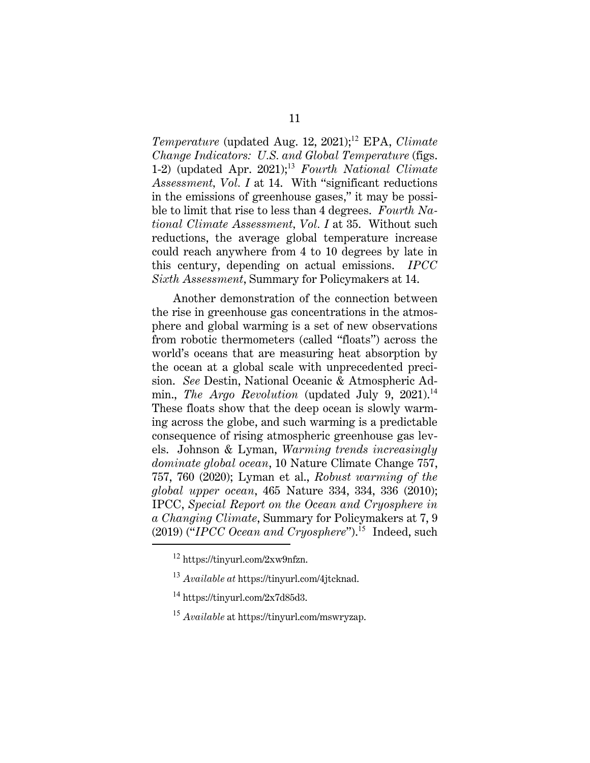*Temperature* (updated Aug. 12, 2021);<sup>12</sup> EPA, *Climate Change Indicators: U.S. and Global Temperature* (figs. 1-2) (updated Apr. 2021);<sup>13</sup> *Fourth National Climate Assessment, Vol. I* at 14. With "significant reductions in the emissions of greenhouse gases," it may be possible to limit that rise to less than 4 degrees. *Fourth National Climate Assessment, Vol. I* at 35. Without such reductions, the average global temperature increase could reach anywhere from 4 to 10 degrees by late in this century, depending on actual emissions. *IPCC Sixth Assessment*, Summary for Policymakers at 14.

Another demonstration of the connection between the rise in greenhouse gas concentrations in the atmosphere and global warming is a set of new observations from robotic thermometers (called "floats") across the world's oceans that are measuring heat absorption by the ocean at a global scale with unprecedented precision. *See* Destin, National Oceanic & Atmospheric Admin., *The Argo Revolution* (updated July 9, 2021).<sup>14</sup> These floats show that the deep ocean is slowly warming across the globe, and such warming is a predictable consequence of rising atmospheric greenhouse gas levels. Johnson & Lyman, *Warming trends increasingly dominate global ocean*, 10 Nature Climate Change 757, 757, 760 (2020); Lyman et al., *Robust warming of the global upper ocean*, 465 Nature 334, 334, 336 (2010); IPCC, *Special Report on the Ocean and Cryosphere in a Changing Climate*, Summary for Policymakers at 7, 9 (2019) ("*IPCC Ocean and Cryosphere*").<sup>15</sup> Indeed, such

<sup>12</sup> https://tinyurl.com/2xw9nfzn.

<sup>13</sup> *Available at* https://tinyurl.com/4jtcknad.

 $14 \text{ https://tinvurl.com/2x7d85d3.}$ 

<sup>15</sup> *Available* at https://tinyurl.com/mswryzap.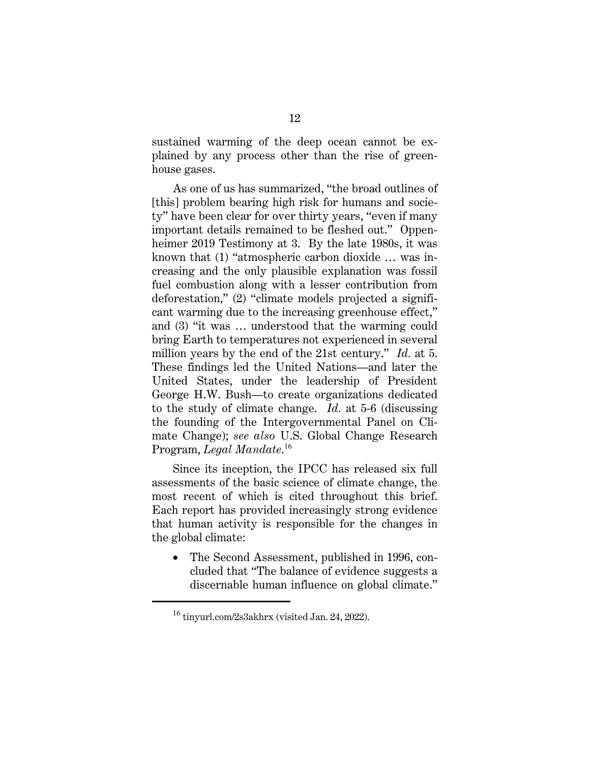sustained warming of the deep ocean cannot be explained by any process other than the rise of greenhouse gases.

As one of us has summarized, "the broad outlines of [this] problem bearing high risk for humans and society" have been clear for over thirty years, "even if many important details remained to be fleshed out." Oppenheimer 2019 Testimony at 3. By the late 1980s, it was known that (1) "atmospheric carbon dioxide … was increasing and the only plausible explanation was fossil fuel combustion along with a lesser contribution from deforestation," (2) "climate models projected a significant warming due to the increasing greenhouse effect," and (3) "it was … understood that the warming could bring Earth to temperatures not experienced in several million years by the end of the 21st century." *Id.* at 5. These findings led the United Nations—and later the United States, under the leadership of President George H.W. Bush—to create organizations dedicated to the study of climate change. *Id.* at 5-6 (discussing the founding of the Intergovernmental Panel on Climate Change); *see also* U.S. Global Change Research Program, *Legal Mandate*. <sup>16</sup>

Since its inception, the IPCC has released six full assessments of the basic science of climate change, the most recent of which is cited throughout this brief. Each report has provided increasingly strong evidence that human activity is responsible for the changes in the global climate:

• The Second Assessment, published in 1996, concluded that "The balance of evidence suggests a discernable human influence on global climate."

<sup>16</sup> tinyurl.com/2s3akhrx (visited Jan. 24, 2022).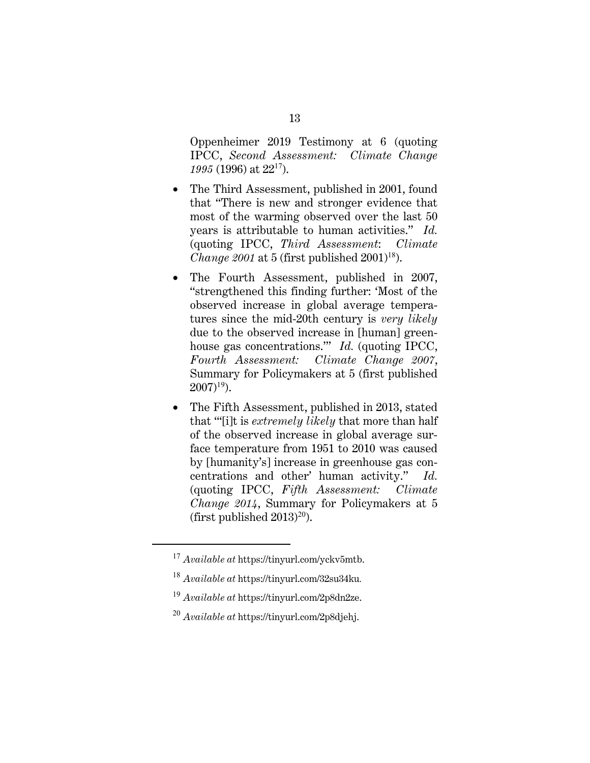Oppenheimer 2019 Testimony at 6 (quoting IPCC, *Second Assessment: Climate Change 1995* (1996) at 22<sup>17</sup>).

- The Third Assessment, published in 2001, found that "There is new and stronger evidence that most of the warming observed over the last 50 years is attributable to human activities." *Id.*  (quoting IPCC, *Third Assessment*: *Climate Change 2001* at 5 (first published 2001)<sup>18</sup>).
- The Fourth Assessment, published in 2007, "strengthened this finding further: 'Most of the observed increase in global average temperatures since the mid-20th century is *very likely*  due to the observed increase in [human] greenhouse gas concentrations.'" *Id.* (quoting IPCC, *Fourth Assessment: Climate Change 2007*, Summary for Policymakers at 5 (first published  $2007$ <sup>19</sup>).
- The Fifth Assessment, published in 2013, stated that "'[i]t is *extremely likely* that more than half of the observed increase in global average surface temperature from 1951 to 2010 was caused by [humanity's] increase in greenhouse gas concentrations and other' human activity." *Id.* (quoting IPCC, *Fifth Assessment: Climate Change 2014*, Summary for Policymakers at 5 (first published  $2013$ )<sup>20</sup>).

<sup>17</sup> *Available at* https://tinyurl.com/yckv5mtb.

<sup>18</sup> *Available at* https://tinyurl.com/32su34ku*.*

<sup>19</sup> *Available at* https://tinyurl.com/2p8dn2ze.

<sup>20</sup> *Available at* https://tinyurl.com/2p8djehj.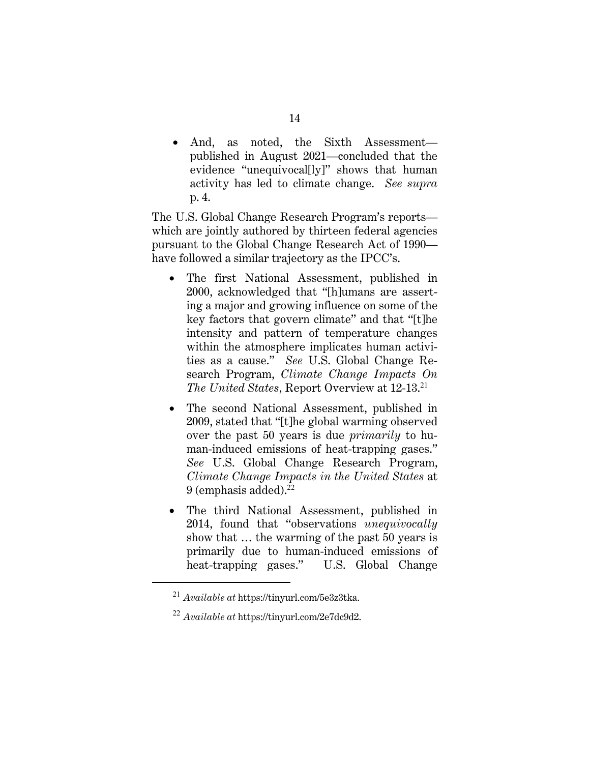• And, as noted, the Sixth Assessment published in August 2021—concluded that the evidence "unequivocal[ly]" shows that human activity has led to climate change. *See supra*  p. 4.

The U.S. Global Change Research Program's reports which are jointly authored by thirteen federal agencies pursuant to the Global Change Research Act of 1990 have followed a similar trajectory as the IPCC's.

- The first National Assessment, published in 2000, acknowledged that "[h]umans are asserting a major and growing influence on some of the key factors that govern climate" and that "[t]he intensity and pattern of temperature changes within the atmosphere implicates human activities as a cause." *See* U.S. Global Change Research Program, *Climate Change Impacts On The United States*, Report Overview at 12-13.<sup>21</sup>
- The second National Assessment, published in 2009, stated that "[t]he global warming observed over the past 50 years is due *primarily* to human-induced emissions of heat-trapping gases." *See* U.S. Global Change Research Program, *Climate Change Impacts in the United States* at  $9$  (emphasis added).<sup>22</sup>
- The third National Assessment, published in 2014, found that "observations *unequivocally* show that … the warming of the past 50 years is primarily due to human-induced emissions of heat-trapping gases." U.S. Global Change

<sup>21</sup> *Available at* https://tinyurl.com/5e3z3tka.

<sup>22</sup> *Available at* https://tinyurl.com/2e7dc9d2.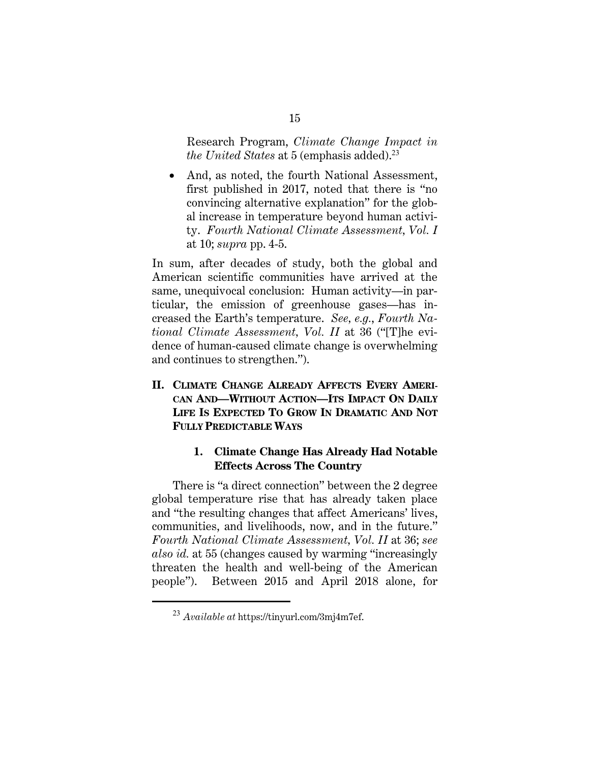Research Program, *Climate Change Impact in the United States at 5 (emphasis added).*<sup>23</sup>

• And, as noted, the fourth National Assessment, first published in 2017, noted that there is "no convincing alternative explanation" for the global increase in temperature beyond human activity. *Fourth National Climate Assessment, Vol. I* at 10; *supra* pp. 4-5.

In sum, after decades of study, both the global and American scientific communities have arrived at the same, unequivocal conclusion: Human activity—in particular, the emission of greenhouse gases—has increased the Earth's temperature. *See, e.g.*, *Fourth National Climate Assessment, Vol. II* at 36 ("[T]he evidence of human-caused climate change is overwhelming and continues to strengthen.").

**II. CLIMATE CHANGE ALREADY AFFECTS EVERY AMERI-CAN AND—WITHOUT ACTION—ITS IMPACT ON DAILY LIFE IS EXPECTED TO GROW IN DRAMATIC AND NOT FULLY PREDICTABLE WAYS**

## **1. Climate Change Has Already Had Notable Effects Across The Country**

There is "a direct connection" between the 2 degree global temperature rise that has already taken place and "the resulting changes that affect Americans' lives, communities, and livelihoods, now, and in the future." *Fourth National Climate Assessment, Vol. II* at 36; *see also id.* at 55 (changes caused by warming "increasingly threaten the health and well-being of the American people"). Between 2015 and April 2018 alone, for

<sup>23</sup> *Available at* https://tinyurl.com/3mj4m7ef.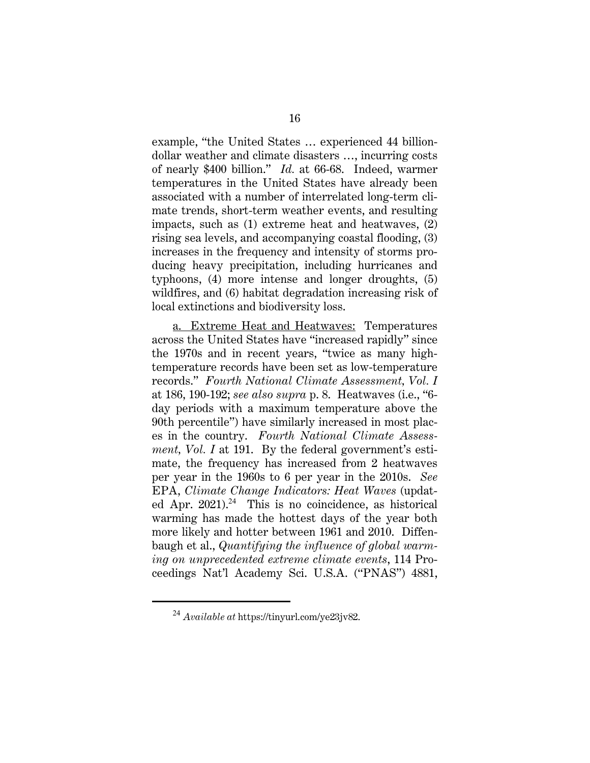example, "the United States … experienced 44 billiondollar weather and climate disasters …, incurring costs of nearly \$400 billion." *Id.* at 66-68. Indeed, warmer temperatures in the United States have already been associated with a number of interrelated long-term climate trends, short-term weather events, and resulting impacts, such as (1) extreme heat and heatwaves, (2) rising sea levels, and accompanying coastal flooding, (3) increases in the frequency and intensity of storms producing heavy precipitation, including hurricanes and typhoons, (4) more intense and longer droughts, (5) wildfires, and (6) habitat degradation increasing risk of local extinctions and biodiversity loss.

 a. Extreme Heat and Heatwaves: Temperatures across the United States have "increased rapidly" since the 1970s and in recent years, "twice as many hightemperature records have been set as low-temperature records." *Fourth National Climate Assessment, Vol. I* at 186, 190-192; *see also supra* p. 8. Heatwaves (i.e., "6 day periods with a maximum temperature above the 90th percentile") have similarly increased in most places in the country. *Fourth National Climate Assessment, Vol. I* at 191. By the federal government's estimate, the frequency has increased from 2 heatwaves per year in the 1960s to 6 per year in the 2010s. *See*  EPA, *Climate Change Indicators: Heat Waves* (updated Apr.  $2021$ .<sup>24</sup> This is no coincidence, as historical warming has made the hottest days of the year both more likely and hotter between 1961 and 2010. Diffenbaugh et al., *Quantifying the influence of global warming on unprecedented extreme climate events*, 114 Proceedings Nat'l Academy Sci. U.S.A. ("PNAS") 4881,

<sup>24</sup> *Available at* https://tinyurl.com/ye23jv82.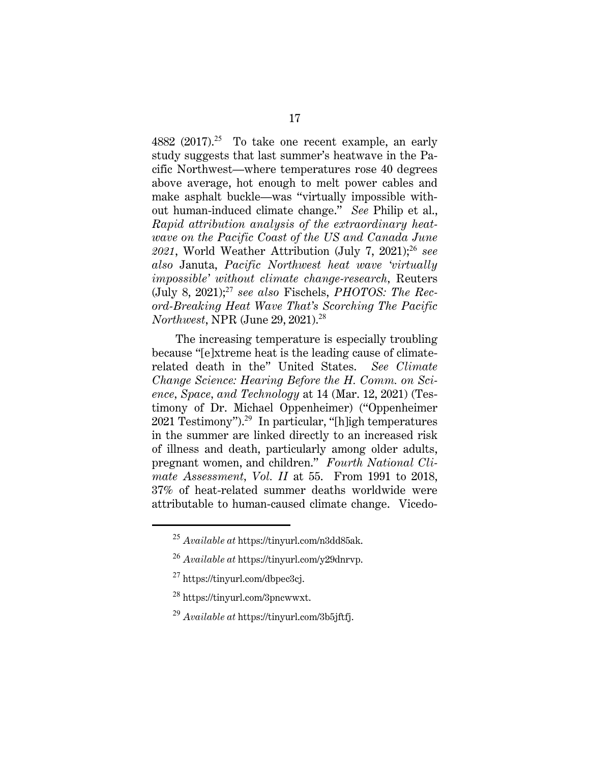4882 (2017).<sup>25</sup> To take one recent example, an early study suggests that last summer's heatwave in the Pacific Northwest—where temperatures rose 40 degrees above average, hot enough to melt power cables and make asphalt buckle—was "virtually impossible without human-induced climate change." *See* Philip et al., *Rapid attribution analysis of the extraordinary heatwave on the Pacific Coast of the US and Canada June 2021*, World Weather Attribution (July 7, 2021);<sup>26</sup> *see also* Januta, *Pacific Northwest heat wave 'virtually impossible' without climate change-research,* Reuters (July 8, 2021);<sup>27</sup> *see also* Fischels, *PHOTOS: The Record-Breaking Heat Wave That's Scorching The Pacific Northwest*, NPR (June 29, 2021).<sup>28</sup>

The increasing temperature is especially troubling because "[e]xtreme heat is the leading cause of climaterelated death in the" United States. *See Climate Change Science: Hearing Before the H. Comm. on Science, Space, and Technology* at 14 (Mar. 12, 2021) (Testimony of Dr. Michael Oppenheimer) ("Oppenheimer 2021 Testimony").<sup>29</sup> In particular, "[h]igh temperatures in the summer are linked directly to an increased risk of illness and death, particularly among older adults, pregnant women, and children." *Fourth National Climate Assessment, Vol. II* at 55. From 1991 to 2018, 37% of heat-related summer deaths worldwide were attributable to human-caused climate change. Vicedo-

- <sup>28</sup> https://tinyurl.com/3pncwwxt.
- <sup>29</sup> *Available at* https://tinyurl.com/3b5jftfj.

<sup>25</sup> *Available at* https://tinyurl.com/n3dd85ak.

<sup>26</sup> *Available at* https://tinyurl.com/y29dnrvp.

<sup>27</sup> https://tinyurl.com/dbpec3cj.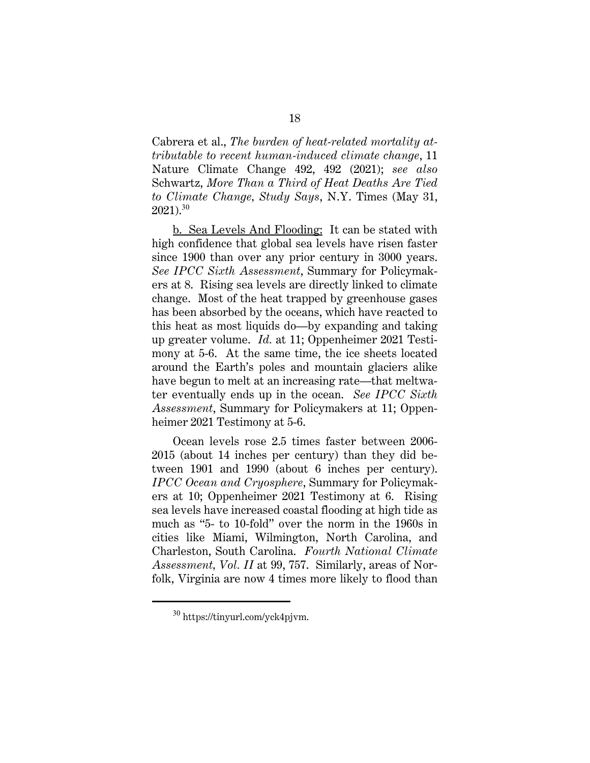Cabrera et al., *The burden of heat-related mortality attributable to recent human-induced climate change*, 11 Nature Climate Change 492, 492 (2021); *see also*  Schwartz, *More Than a Third of Heat Deaths Are Tied to Climate Change, Study Says*, N.Y. Times (May 31,  $2021$ ).<sup>30</sup>

 b. Sea Levels And Flooding: It can be stated with high confidence that global sea levels have risen faster since 1900 than over any prior century in 3000 years. *See IPCC Sixth Assessment*, Summary for Policymakers at 8. Rising sea levels are directly linked to climate change. Most of the heat trapped by greenhouse gases has been absorbed by the oceans, which have reacted to this heat as most liquids do—by expanding and taking up greater volume. *Id.* at 11; Oppenheimer 2021 Testimony at 5-6. At the same time, the ice sheets located around the Earth's poles and mountain glaciers alike have begun to melt at an increasing rate—that meltwater eventually ends up in the ocean. *See IPCC Sixth Assessment*, Summary for Policymakers at 11; Oppenheimer 2021 Testimony at 5-6.

Ocean levels rose 2.5 times faster between 2006- 2015 (about 14 inches per century) than they did between 1901 and 1990 (about 6 inches per century). *IPCC Ocean and Cryosphere*, Summary for Policymakers at 10; Oppenheimer 2021 Testimony at 6. Rising sea levels have increased coastal flooding at high tide as much as "5- to 10-fold" over the norm in the 1960s in cities like Miami, Wilmington, North Carolina, and Charleston, South Carolina. *Fourth National Climate Assessment, Vol. II* at 99, 757. Similarly, areas of Norfolk, Virginia are now 4 times more likely to flood than

<sup>30</sup> https://tinyurl.com/yck4pjvm.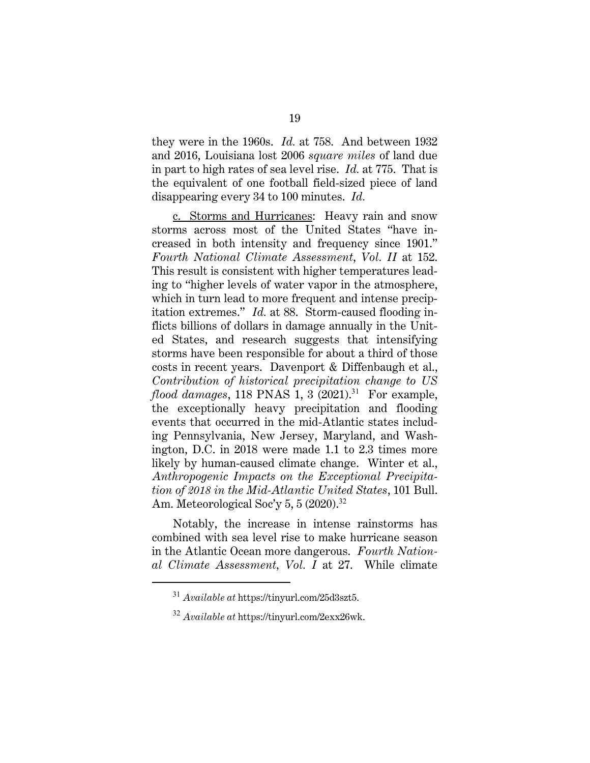they were in the 1960s. *Id.* at 758. And between 1932 and 2016, Louisiana lost 2006 *square miles* of land due in part to high rates of sea level rise. *Id.* at 775. That is the equivalent of one football field-sized piece of land disappearing every 34 to 100 minutes. *Id.*

 c. Storms and Hurricanes: Heavy rain and snow storms across most of the United States "have increased in both intensity and frequency since 1901." *Fourth National Climate Assessment*, *Vol. II* at 152. This result is consistent with higher temperatures leading to "higher levels of water vapor in the atmosphere, which in turn lead to more frequent and intense precipitation extremes." *Id.* at 88. Storm-caused flooding inflicts billions of dollars in damage annually in the United States, and research suggests that intensifying storms have been responsible for about a third of those costs in recent years. Davenport & Diffenbaugh et al., *Contribution of historical precipitation change to US flood damages*, 118 PNAS 1, 3 (2021).<sup>31</sup> For example, the exceptionally heavy precipitation and flooding events that occurred in the mid-Atlantic states including Pennsylvania, New Jersey, Maryland, and Washington, D.C. in 2018 were made 1.1 to 2.3 times more likely by human-caused climate change. Winter et al., *Anthropogenic Impacts on the Exceptional Precipitation of 2018 in the Mid-Atlantic United States*, 101 Bull. Am. Meteorological Soc'y 5, 5  $(2020)^{32}$ 

 Notably, the increase in intense rainstorms has combined with sea level rise to make hurricane season in the Atlantic Ocean more dangerous. *Fourth National Climate Assessment, Vol. I* at 27. While climate

<sup>31</sup> *Available at* https://tinyurl.com/25d3szt5.

<sup>32</sup> *Available at* https://tinyurl.com/2exx26wk.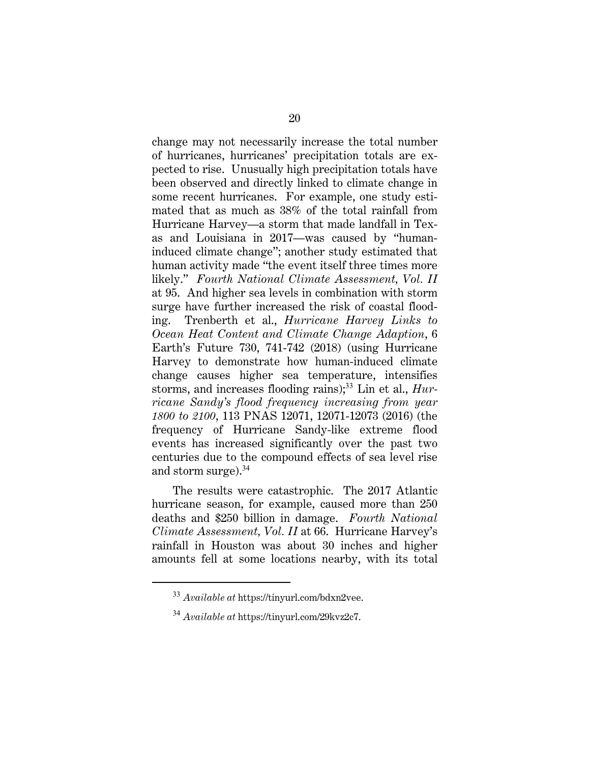change may not necessarily increase the total number of hurricanes, hurricanes' precipitation totals are expected to rise. Unusually high precipitation totals have been observed and directly linked to climate change in some recent hurricanes. For example, one study estimated that as much as 38% of the total rainfall from Hurricane Harvey—a storm that made landfall in Texas and Louisiana in 2017—was caused by "humaninduced climate change"; another study estimated that human activity made "the event itself three times more likely." *Fourth National Climate Assessment, Vol. II* at 95. And higher sea levels in combination with storm surge have further increased the risk of coastal flooding.Trenberth et al., *Hurricane Harvey Links to Ocean Heat Content and Climate Change Adaption*, 6 Earth's Future 730, 741-742 (2018) (using Hurricane Harvey to demonstrate how human-induced climate change causes higher sea temperature, intensifies storms, and increases flooding rains);<sup>33</sup> Lin et al., *Hurricane Sandy's flood frequency increasing from year 1800 to 2100*, 113 PNAS 12071, 12071-12073 (2016) (the frequency of Hurricane Sandy-like extreme flood events has increased significantly over the past two centuries due to the compound effects of sea level rise and storm surge).<sup>34</sup>

 The results were catastrophic. The 2017 Atlantic hurricane season, for example, caused more than 250 deaths and \$250 billion in damage. *Fourth National Climate Assessment, Vol. II* at 66. Hurricane Harvey's rainfall in Houston was about 30 inches and higher amounts fell at some locations nearby, with its total

<sup>33</sup> *Available at* https://tinyurl.com/bdxn2vee.

<sup>34</sup> *Available at* https://tinyurl.com/29kvz2c7.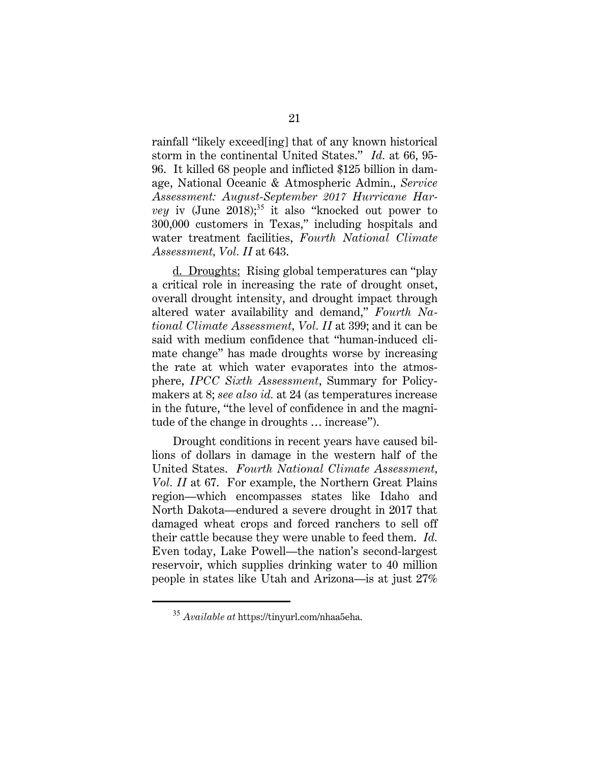rainfall "likely exceed[ing] that of any known historical storm in the continental United States." *Id.* at 66, 95- 96. It killed 68 people and inflicted \$125 billion in damage, National Oceanic & Atmospheric Admin., *Service Assessment: August-September 2017 Hurricane Harvey* iv (June 2018);<sup>35</sup> it also "knocked out power to 300,000 customers in Texas," including hospitals and water treatment facilities, *Fourth National Climate Assessment, Vol. II* at 643.

 d. Droughts: Rising global temperatures can "play a critical role in increasing the rate of drought onset, overall drought intensity, and drought impact through altered water availability and demand," *Fourth National Climate Assessment, Vol. II* at 399; and it can be said with medium confidence that "human-induced climate change" has made droughts worse by increasing the rate at which water evaporates into the atmosphere, *IPCC Sixth Assessment*, Summary for Policymakers at 8; *see also id.* at 24 (as temperatures increase in the future, "the level of confidence in and the magnitude of the change in droughts … increase").

 Drought conditions in recent years have caused billions of dollars in damage in the western half of the United States. *Fourth National Climate Assessment, Vol. II* at 67. For example, the Northern Great Plains region—which encompasses states like Idaho and North Dakota—endured a severe drought in 2017 that damaged wheat crops and forced ranchers to sell off their cattle because they were unable to feed them. *Id.*  Even today, Lake Powell—the nation's second-largest reservoir, which supplies drinking water to 40 million people in states like Utah and Arizona—is at just 27%

<sup>35</sup> *Available at* https://tinyurl.com/nhaa5eha.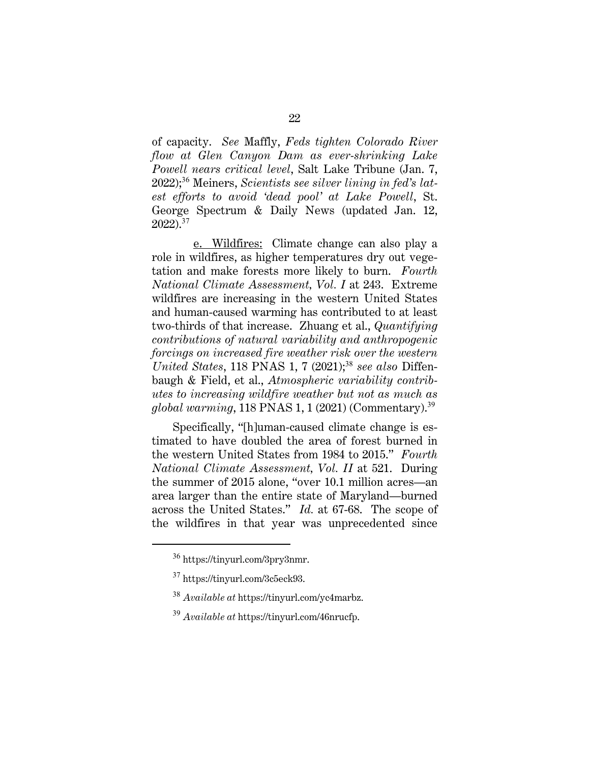of capacity. *See* Maffly, *Feds tighten Colorado River flow at Glen Canyon Dam as ever-shrinking Lake Powell nears critical level*, Salt Lake Tribune (Jan. 7, 2022);<sup>36</sup> Meiners, *Scientists see silver lining in fed's latest efforts to avoid 'dead pool' at Lake Powell*, St. George Spectrum & Daily News (updated Jan. 12, 2022).<sup>37</sup>

 e. Wildfires: Climate change can also play a role in wildfires, as higher temperatures dry out vegetation and make forests more likely to burn. *Fourth National Climate Assessment, Vol. I* at 243. Extreme wildfires are increasing in the western United States and human-caused warming has contributed to at least two-thirds of that increase. Zhuang et al., *Quantifying contributions of natural variability and anthropogenic forcings on increased fire weather risk over the western United States*, 118 PNAS 1, 7 (2021);<sup>38</sup> *see also Diffen*baugh & Field, et al., *Atmospheric variability contributes to increasing wildfire weather but not as much as global warming*, 118 PNAS 1, 1 (2021) (Commentary).<sup>39</sup>

Specifically, "[h]uman-caused climate change is estimated to have doubled the area of forest burned in the western United States from 1984 to 2015." *Fourth National Climate Assessment, Vol. II* at 521. During the summer of 2015 alone, "over 10.1 million acres—an area larger than the entire state of Maryland—burned across the United States." *Id.* at 67-68. The scope of the wildfires in that year was unprecedented since

<sup>36</sup> https://tinyurl.com/3pry3nmr.

<sup>37</sup> https://tinyurl.com/3c5eck93.

<sup>38</sup> *Available at* https://tinyurl.com/yc4marbz.

<sup>39</sup> *Available at* https://tinyurl.com/46nrucfp.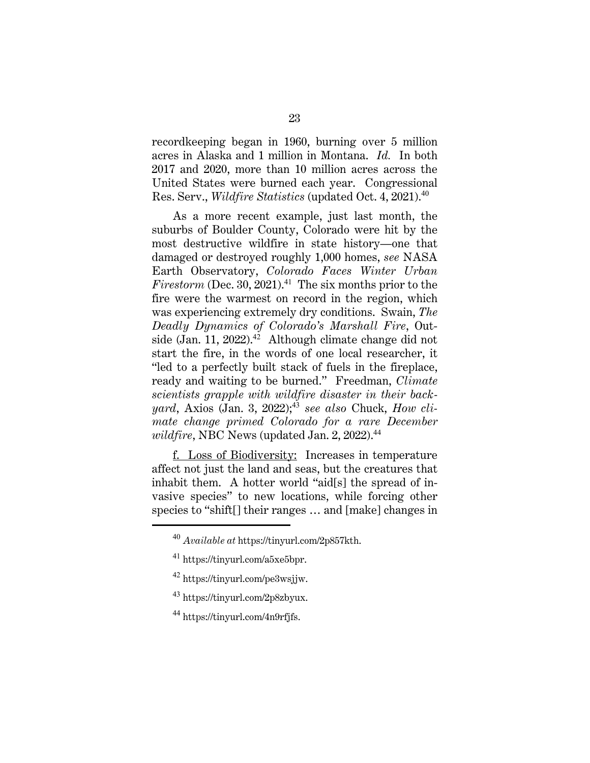recordkeeping began in 1960, burning over 5 million acres in Alaska and 1 million in Montana. *Id.* In both 2017 and 2020, more than 10 million acres across the United States were burned each year. Congressional Res. Serv., *Wildfire Statistics* (updated Oct. 4, 2021).<sup>40</sup>

As a more recent example, just last month, the suburbs of Boulder County, Colorado were hit by the most destructive wildfire in state history—one that damaged or destroyed roughly 1,000 homes, *see* NASA Earth Observatory, *Colorado Faces Winter Urban Firestorm* (Dec. 30, 2021).<sup>41</sup> The six months prior to the fire were the warmest on record in the region, which was experiencing extremely dry conditions. Swain, *The Deadly Dynamics of Colorado's Marshall Fire*, Outside (Jan. 11, 2022).<sup>42</sup> Although climate change did not start the fire, in the words of one local researcher, it "led to a perfectly built stack of fuels in the fireplace, ready and waiting to be burned." Freedman, *Climate scientists grapple with wildfire disaster in their backyard*, Axios (Jan. 3, 2022);<sup>43</sup> *see also* Chuck, *How climate change primed Colorado for a rare December*   $wildfire, \text{NBC News}$  (updated Jan. 2, 2022).<sup>44</sup>

 f. Loss of Biodiversity: Increases in temperature affect not just the land and seas, but the creatures that inhabit them. A hotter world "aid[s] the spread of invasive species" to new locations, while forcing other species to "shift[] their ranges … and [make] changes in

- <sup>43</sup> https://tinyurl.com/2p8zbyux.
- <sup>44</sup> https://tinyurl.com/4n9rfjfs.

<sup>40</sup> *Available at* https://tinyurl.com/2p857kth.

<sup>41</sup> https://tinyurl.com/a5xe5bpr.

 $42$  https://tinyurl.com/pe3wsjjw.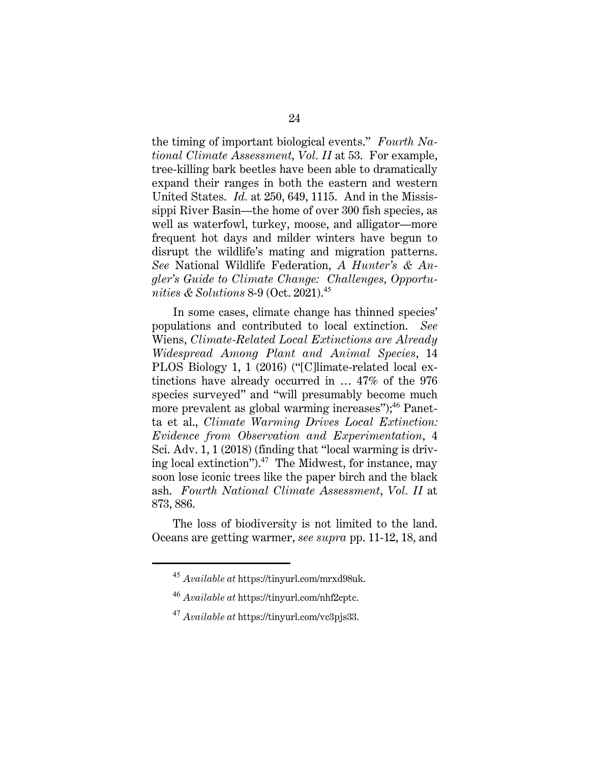the timing of important biological events." *Fourth National Climate Assessment, Vol. II* at 53. For example, tree-killing bark beetles have been able to dramatically expand their ranges in both the eastern and western United States. *Id.* at 250, 649, 1115. And in the Mississippi River Basin—the home of over 300 fish species, as well as waterfowl, turkey, moose, and alligator—more frequent hot days and milder winters have begun to disrupt the wildlife's mating and migration patterns. *See* National Wildlife Federation, *A Hunter's & Angler's Guide to Climate Change: Challenges, Opportunities & Solutions* 8-9 (Oct. 2021).<sup>45</sup>

In some cases, climate change has thinned species' populations and contributed to local extinction. *See*  Wiens, *Climate-Related Local Extinctions are Already Widespread Among Plant and Animal Species*, 14 PLOS Biology 1, 1 (2016) ("[C]limate-related local extinctions have already occurred in … 47% of the 976 species surveyed" and "will presumably become much more prevalent as global warming increases");<sup>46</sup> Panetta et al., *Climate Warming Drives Local Extinction: Evidence from Observation and Experimentation*, 4 Sci. Adv. 1, 1 (2018) (finding that "local warming is driving local extinction").<sup>47</sup> The Midwest, for instance, may soon lose iconic trees like the paper birch and the black ash. *Fourth National Climate Assessment*, *Vol. II* at 873, 886.

The loss of biodiversity is not limited to the land. Oceans are getting warmer, *see supra* pp. 11-12, 18, and

<sup>45</sup> *Available at* https://tinyurl.com/mrxd98uk.

<sup>46</sup> *Available at* https://tinyurl.com/nhf2cptc.

<sup>47</sup> *Available at* https://tinyurl.com/vc3pjs33.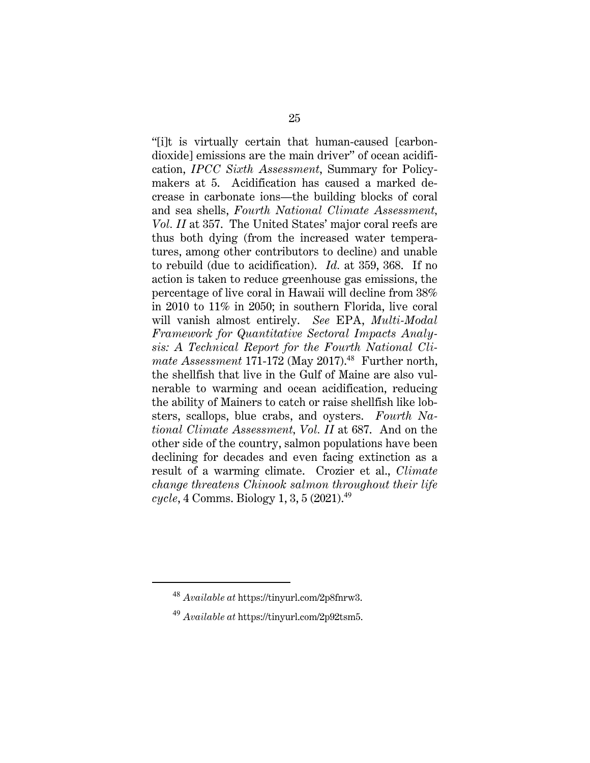"[i]t is virtually certain that human-caused [carbondioxide] emissions are the main driver" of ocean acidification, *IPCC Sixth Assessment*, Summary for Policymakers at 5. Acidification has caused a marked decrease in carbonate ions—the building blocks of coral and sea shells, *Fourth National Climate Assessment, Vol. II* at 357. The United States' major coral reefs are thus both dying (from the increased water temperatures, among other contributors to decline) and unable to rebuild (due to acidification). *Id.* at 359, 368. If no action is taken to reduce greenhouse gas emissions, the percentage of live coral in Hawaii will decline from 38% in 2010 to 11% in 2050; in southern Florida, live coral will vanish almost entirely. *See* EPA, *Multi-Modal Framework for Quantitative Sectoral Impacts Analysis: A Technical Report for the Fourth National Cli*mate Assessment 171-172 (May 2017).<sup>48</sup> Further north, the shellfish that live in the Gulf of Maine are also vulnerable to warming and ocean acidification, reducing the ability of Mainers to catch or raise shellfish like lobsters, scallops, blue crabs, and oysters. *Fourth National Climate Assessment, Vol. II* at 687. And on the other side of the country, salmon populations have been declining for decades and even facing extinction as a result of a warming climate. Crozier et al., *Climate change threatens Chinook salmon throughout their life cycle*, 4 Comms. Biology 1, 3, 5 (2021).<sup>49</sup>

<sup>48</sup> *Available at* https://tinyurl.com/2p8fnrw3.

<sup>49</sup> *Available at* https://tinyurl.com/2p92tsm5.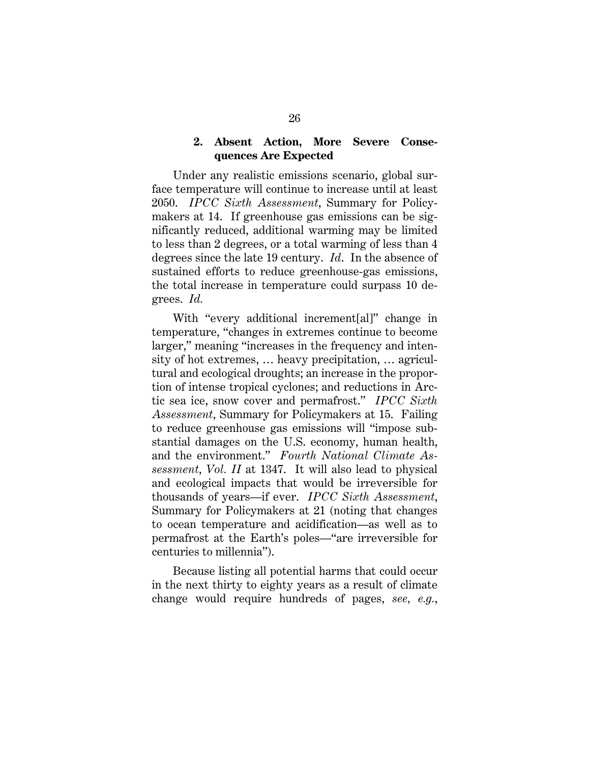#### **2. Absent Action, More Severe Consequences Are Expected**

Under any realistic emissions scenario, global surface temperature will continue to increase until at least 2050. *IPCC Sixth Assessment*, Summary for Policymakers at 14. If greenhouse gas emissions can be significantly reduced, additional warming may be limited to less than 2 degrees, or a total warming of less than 4 degrees since the late 19 century. *Id*. In the absence of sustained efforts to reduce greenhouse-gas emissions, the total increase in temperature could surpass 10 degrees. *Id.*

With "every additional increment[al]" change in temperature, "changes in extremes continue to become larger," meaning "increases in the frequency and intensity of hot extremes, … heavy precipitation, … agricultural and ecological droughts; an increase in the proportion of intense tropical cyclones; and reductions in Arctic sea ice, snow cover and permafrost." *IPCC Sixth Assessment*, Summary for Policymakers at 15. Failing to reduce greenhouse gas emissions will "impose substantial damages on the U.S. economy, human health, and the environment." *Fourth National Climate Assessment*, *Vol. II* at 1347. It will also lead to physical and ecological impacts that would be irreversible for thousands of years—if ever. *IPCC Sixth Assessment*, Summary for Policymakers at 21 (noting that changes to ocean temperature and acidification—as well as to permafrost at the Earth's poles—"are irreversible for centuries to millennia").

Because listing all potential harms that could occur in the next thirty to eighty years as a result of climate change would require hundreds of pages, *see, e.g.*,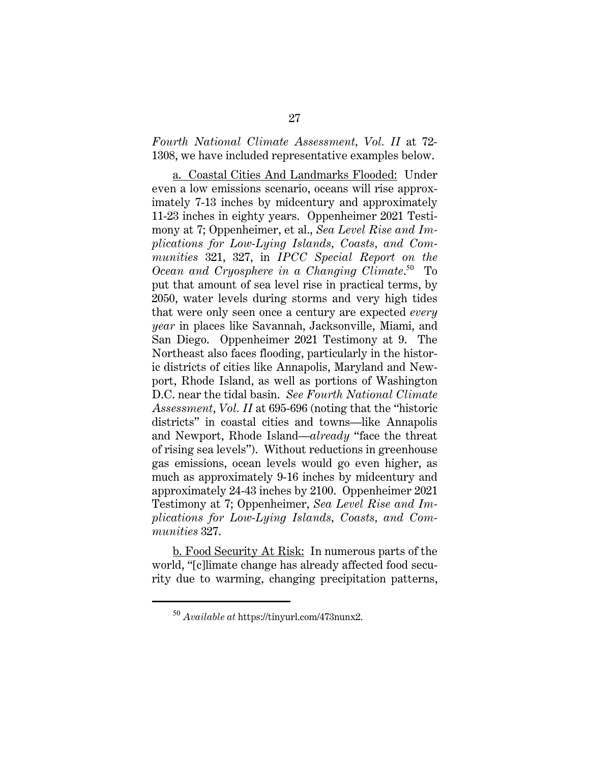*Fourth National Climate Assessment, Vol. II* at 72- 1308, we have included representative examples below.

a. Coastal Cities And Landmarks Flooded: Under even a low emissions scenario, oceans will rise approximately 7-13 inches by midcentury and approximately 11-23 inches in eighty years. Oppenheimer 2021 Testimony at 7; Oppenheimer, et al., *Sea Level Rise and Implications for Low-Lying Islands, Coasts, and Communities* 321, 327, in *IPCC Special Report on the*  Ocean and Cryosphere in a Changing Climate.<sup>50</sup> To put that amount of sea level rise in practical terms, by 2050, water levels during storms and very high tides that were only seen once a century are expected *every year* in places like Savannah, Jacksonville, Miami, and San Diego. Oppenheimer 2021 Testimony at 9. The Northeast also faces flooding, particularly in the historic districts of cities like Annapolis, Maryland and Newport, Rhode Island, as well as portions of Washington D.C. near the tidal basin. *See Fourth National Climate Assessment*, *Vol. II* at 695-696 (noting that the "historic districts" in coastal cities and towns—like Annapolis and Newport, Rhode Island—*already* "face the threat of rising sea levels"). Without reductions in greenhouse gas emissions, ocean levels would go even higher, as much as approximately 9-16 inches by midcentury and approximately 24-43 inches by 2100. Oppenheimer 2021 Testimony at 7; Oppenheimer, *Sea Level Rise and Implications for Low-Lying Islands, Coasts, and Communities* 327.

b. Food Security At Risk: In numerous parts of the world, "[c]limate change has already affected food security due to warming, changing precipitation patterns,

<sup>50</sup> *Available at* https://tinyurl.com/473nunx2.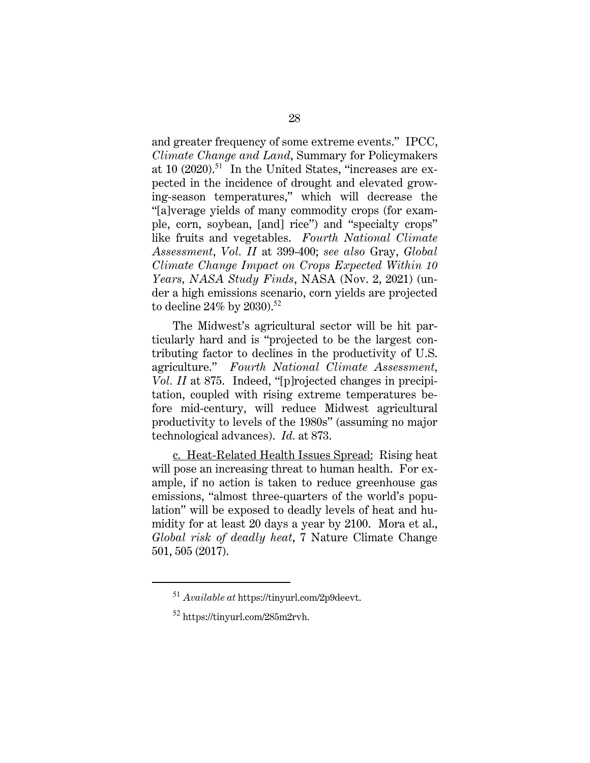and greater frequency of some extreme events." IPCC, *Climate Change and Land*, Summary for Policymakers at 10  $(2020).$ <sup>51</sup> In the United States, "increases are expected in the incidence of drought and elevated growing-season temperatures," which will decrease the "[a]verage yields of many commodity crops (for example, corn, soybean, [and] rice") and "specialty crops" like fruits and vegetables. *Fourth National Climate Assessment*, *Vol. II* at 399-400; *see also* Gray, *Global Climate Change Impact on Crops Expected Within 10 Years, NASA Study Finds*, NASA (Nov. 2, 2021) (under a high emissions scenario, corn yields are projected to decline 24% by 2030).<sup>52</sup>

The Midwest's agricultural sector will be hit particularly hard and is "projected to be the largest contributing factor to declines in the productivity of U.S. agriculture." *Fourth National Climate Assessment, Vol. II* at 875. Indeed, "[p]rojected changes in precipitation, coupled with rising extreme temperatures before mid-century, will reduce Midwest agricultural productivity to levels of the 1980s" (assuming no major technological advances). *Id.* at 873.

c. Heat-Related Health Issues Spread: Rising heat will pose an increasing threat to human health. For example, if no action is taken to reduce greenhouse gas emissions, "almost three-quarters of the world's population" will be exposed to deadly levels of heat and humidity for at least 20 days a year by 2100. Mora et al., *Global risk of deadly heat*, 7 Nature Climate Change 501, 505 (2017).

<sup>51</sup> *Available at* https://tinyurl.com/2p9deevt.

<sup>52</sup> https://tinyurl.com/285m2rvh.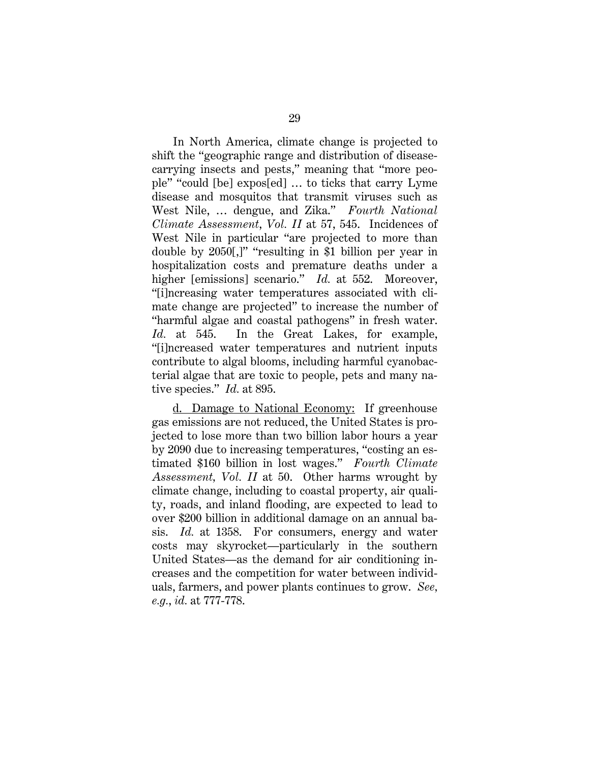In North America, climate change is projected to shift the "geographic range and distribution of diseasecarrying insects and pests," meaning that "more people" "could [be] expos[ed] … to ticks that carry Lyme disease and mosquitos that transmit viruses such as West Nile, … dengue, and Zika." *Fourth National Climate Assessment*, *Vol. II* at 57, 545. Incidences of West Nile in particular "are projected to more than double by 2050[,]" "resulting in \$1 billion per year in hospitalization costs and premature deaths under a higher [emissions] scenario." *Id.* at 552. Moreover, "[i]ncreasing water temperatures associated with climate change are projected" to increase the number of "harmful algae and coastal pathogens" in fresh water. *Id.* at 545. In the Great Lakes, for example, "[i]ncreased water temperatures and nutrient inputs contribute to algal blooms, including harmful cyanobacterial algae that are toxic to people, pets and many native species." *Id.* at 895.

d. Damage to National Economy: If greenhouse gas emissions are not reduced, the United States is projected to lose more than two billion labor hours a year by 2090 due to increasing temperatures, "costing an estimated \$160 billion in lost wages." *Fourth Climate Assessment, Vol. II* at 50. Other harms wrought by climate change, including to coastal property, air quality, roads, and inland flooding, are expected to lead to over \$200 billion in additional damage on an annual basis. *Id.* at 1358. For consumers, energy and water costs may skyrocket—particularly in the southern United States—as the demand for air conditioning increases and the competition for water between individuals, farmers, and power plants continues to grow. *See, e.g.*, *id.* at 777-778.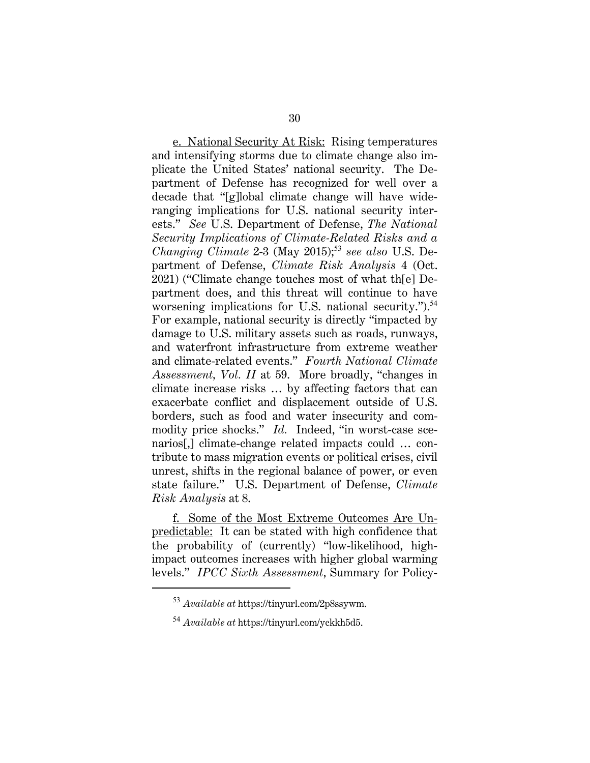e. National Security At Risk: Rising temperatures and intensifying storms due to climate change also implicate the United States' national security. The Department of Defense has recognized for well over a decade that "[g]lobal climate change will have wideranging implications for U.S. national security interests." *See* U.S. Department of Defense, *The National Security Implications of Climate-Related Risks and a Changing Climate* 2-3 (May 2015);<sup>53</sup> see also U.S. Department of Defense, *Climate Risk Analysis* 4 (Oct. 2021) ("Climate change touches most of what th[e] Department does, and this threat will continue to have worsening implications for U.S. national security." $^{54}$ For example, national security is directly "impacted by damage to U.S. military assets such as roads, runways, and waterfront infrastructure from extreme weather and climate-related events." *Fourth National Climate Assessment, Vol. II* at 59. More broadly, "changes in climate increase risks … by affecting factors that can exacerbate conflict and displacement outside of U.S. borders, such as food and water insecurity and commodity price shocks." *Id.* Indeed, "in worst-case scenarios[,] climate-change related impacts could … contribute to mass migration events or political crises, civil unrest, shifts in the regional balance of power, or even state failure." U.S. Department of Defense, *Climate Risk Analysis* at 8.

f. Some of the Most Extreme Outcomes Are Unpredictable: It can be stated with high confidence that the probability of (currently) "low-likelihood, highimpact outcomes increases with higher global warming levels." *IPCC Sixth Assessment*, Summary for Policy-

<sup>53</sup> *Available at* https://tinyurl.com/2p8ssywm.

<sup>54</sup> *Available at* https://tinyurl.com/yckkh5d5.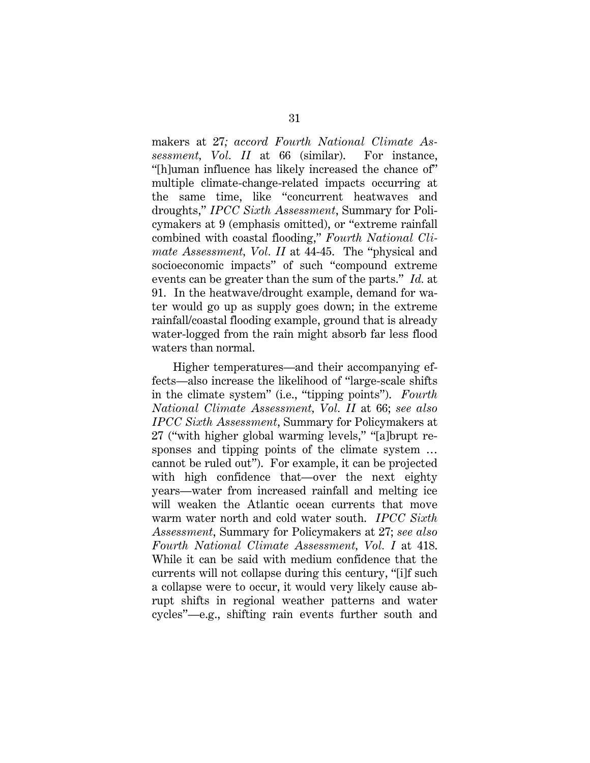makers at 27*; accord Fourth National Climate Assessment, Vol. II* at 66 (similar). For instance, "[h]uman influence has likely increased the chance of" multiple climate-change-related impacts occurring at the same time, like "concurrent heatwaves and droughts," *IPCC Sixth Assessment*, Summary for Policymakers at 9 (emphasis omitted), or "extreme rainfall combined with coastal flooding," *Fourth National Climate Assessment, Vol. II* at 44-45. The "physical and socioeconomic impacts" of such "compound extreme events can be greater than the sum of the parts." *Id.* at 91. In the heatwave/drought example, demand for water would go up as supply goes down; in the extreme rainfall/coastal flooding example, ground that is already water-logged from the rain might absorb far less flood waters than normal.

Higher temperatures—and their accompanying effects—also increase the likelihood of "large-scale shifts in the climate system" (i.e., "tipping points"). *Fourth National Climate Assessment, Vol. II* at 66; *see also IPCC Sixth Assessment*, Summary for Policymakers at 27 ("with higher global warming levels," "[a]brupt responses and tipping points of the climate system … cannot be ruled out"). For example, it can be projected with high confidence that—over the next eighty years—water from increased rainfall and melting ice will weaken the Atlantic ocean currents that move warm water north and cold water south. *IPCC Sixth Assessment*, Summary for Policymakers at 27; *see also Fourth National Climate Assessment, Vol. I* at 418. While it can be said with medium confidence that the currents will not collapse during this century, "[i]f such a collapse were to occur, it would very likely cause abrupt shifts in regional weather patterns and water cycles"—e.g., shifting rain events further south and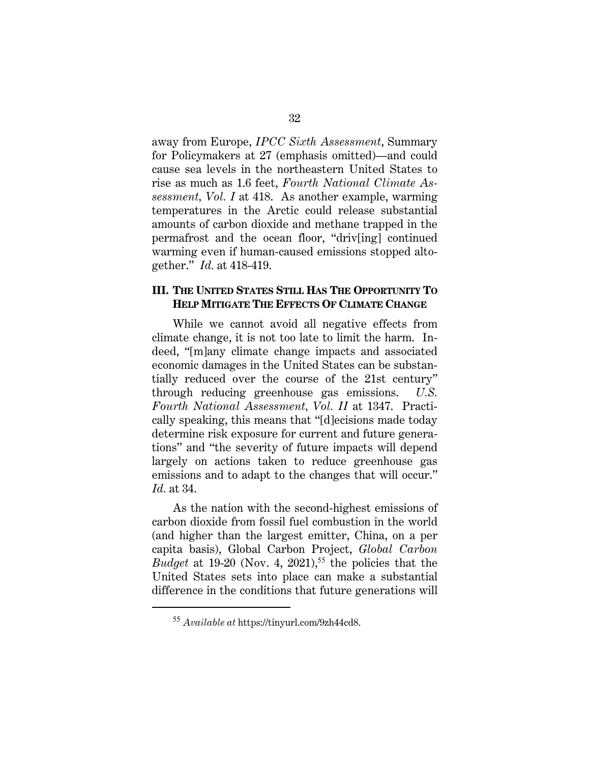away from Europe, *IPCC Sixth Assessment*, Summary for Policymakers at 27 (emphasis omitted)—and could cause sea levels in the northeastern United States to rise as much as 1.6 feet, *Fourth National Climate Assessment, Vol. I* at 418. As another example, warming temperatures in the Arctic could release substantial amounts of carbon dioxide and methane trapped in the permafrost and the ocean floor, "driv[ing] continued warming even if human-caused emissions stopped altogether." *Id.* at 418-419.

#### **III. THE UNITED STATES STILL HAS THE OPPORTUNITY TO HELP MITIGATE THE EFFECTS OF CLIMATE CHANGE**

While we cannot avoid all negative effects from climate change, it is not too late to limit the harm. Indeed, "[m]any climate change impacts and associated economic damages in the United States can be substantially reduced over the course of the 21st century" through reducing greenhouse gas emissions. *U.S. Fourth National Assessment, Vol. II* at 1347. Practically speaking, this means that "[d]ecisions made today determine risk exposure for current and future generations" and "the severity of future impacts will depend largely on actions taken to reduce greenhouse gas emissions and to adapt to the changes that will occur." *Id.* at 34.

As the nation with the second-highest emissions of carbon dioxide from fossil fuel combustion in the world (and higher than the largest emitter, China, on a per capita basis), Global Carbon Project, *Global Carbon Budget* at 19-20 (Nov. 4, 2021),<sup>55</sup> the policies that the United States sets into place can make a substantial difference in the conditions that future generations will

<sup>55</sup> *Available at* https://tinyurl.com/9zh44cd8.